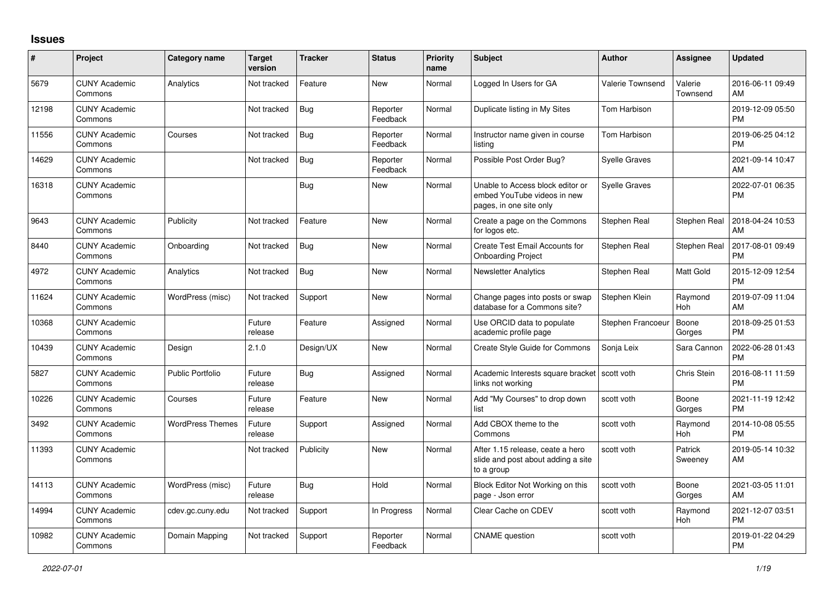## **Issues**

| #     | Project                         | <b>Category name</b>    | <b>Target</b><br>version | <b>Tracker</b> | <b>Status</b>        | <b>Priority</b><br>name | <b>Subject</b>                                                                             | <b>Author</b>           | Assignee            | <b>Updated</b>                |
|-------|---------------------------------|-------------------------|--------------------------|----------------|----------------------|-------------------------|--------------------------------------------------------------------------------------------|-------------------------|---------------------|-------------------------------|
| 5679  | <b>CUNY Academic</b><br>Commons | Analytics               | Not tracked              | Feature        | New                  | Normal                  | Logged In Users for GA                                                                     | <b>Valerie Townsend</b> | Valerie<br>Townsend | 2016-06-11 09:49<br>AM        |
| 12198 | <b>CUNY Academic</b><br>Commons |                         | Not tracked              | Bug            | Reporter<br>Feedback | Normal                  | Duplicate listing in My Sites                                                              | Tom Harbison            |                     | 2019-12-09 05:50<br><b>PM</b> |
| 11556 | <b>CUNY Academic</b><br>Commons | Courses                 | Not tracked              | Bug            | Reporter<br>Feedback | Normal                  | Instructor name given in course<br>listing                                                 | Tom Harbison            |                     | 2019-06-25 04:12<br><b>PM</b> |
| 14629 | <b>CUNY Academic</b><br>Commons |                         | Not tracked              | Bug            | Reporter<br>Feedback | Normal                  | Possible Post Order Bug?                                                                   | <b>Syelle Graves</b>    |                     | 2021-09-14 10:47<br>AM        |
| 16318 | <b>CUNY Academic</b><br>Commons |                         |                          | Bug            | New                  | Normal                  | Unable to Access block editor or<br>embed YouTube videos in new<br>pages, in one site only | <b>Syelle Graves</b>    |                     | 2022-07-01 06:35<br>PM        |
| 9643  | <b>CUNY Academic</b><br>Commons | Publicity               | Not tracked              | Feature        | New                  | Normal                  | Create a page on the Commons<br>for logos etc.                                             | Stephen Real            | Stephen Real        | 2018-04-24 10:53<br>AM        |
| 8440  | <b>CUNY Academic</b><br>Commons | Onboarding              | Not tracked              | Bug            | <b>New</b>           | Normal                  | Create Test Email Accounts for<br><b>Onboarding Project</b>                                | Stephen Real            | Stephen Real        | 2017-08-01 09:49<br><b>PM</b> |
| 4972  | <b>CUNY Academic</b><br>Commons | Analytics               | Not tracked              | Bug            | New                  | Normal                  | <b>Newsletter Analytics</b>                                                                | Stephen Real            | Matt Gold           | 2015-12-09 12:54<br><b>PM</b> |
| 11624 | <b>CUNY Academic</b><br>Commons | WordPress (misc)        | Not tracked              | Support        | <b>New</b>           | Normal                  | Change pages into posts or swap<br>database for a Commons site?                            | Stephen Klein           | Raymond<br>Hoh      | 2019-07-09 11:04<br>AM        |
| 10368 | <b>CUNY Academic</b><br>Commons |                         | Future<br>release        | Feature        | Assigned             | Normal                  | Use ORCID data to populate<br>academic profile page                                        | Stephen Francoeur       | Boone<br>Gorges     | 2018-09-25 01:53<br><b>PM</b> |
| 10439 | <b>CUNY Academic</b><br>Commons | Design                  | 2.1.0                    | Design/UX      | New                  | Normal                  | Create Style Guide for Commons                                                             | Sonja Leix              | Sara Cannon         | 2022-06-28 01:43<br>PM        |
| 5827  | <b>CUNY Academic</b><br>Commons | Public Portfolio        | Future<br>release        | Bug            | Assigned             | Normal                  | Academic Interests square bracket<br>links not working                                     | scott voth              | <b>Chris Stein</b>  | 2016-08-11 11:59<br><b>PM</b> |
| 10226 | <b>CUNY Academic</b><br>Commons | Courses                 | Future<br>release        | Feature        | <b>New</b>           | Normal                  | Add "My Courses" to drop down<br>list                                                      | scott voth              | Boone<br>Gorges     | 2021-11-19 12:42<br><b>PM</b> |
| 3492  | <b>CUNY Academic</b><br>Commons | <b>WordPress Themes</b> | Future<br>release        | Support        | Assigned             | Normal                  | Add CBOX theme to the<br>Commons                                                           | scott voth              | Raymond<br>Hoh      | 2014-10-08 05:55<br><b>PM</b> |
| 11393 | <b>CUNY Academic</b><br>Commons |                         | Not tracked              | Publicity      | New                  | Normal                  | After 1.15 release, ceate a hero<br>slide and post about adding a site<br>to a group       | scott voth              | Patrick<br>Sweeney  | 2019-05-14 10:32<br>AM        |
| 14113 | <b>CUNY Academic</b><br>Commons | WordPress (misc)        | Future<br>release        | Bug            | Hold                 | Normal                  | Block Editor Not Working on this<br>page - Json error                                      | scott voth              | Boone<br>Gorges     | 2021-03-05 11:01<br>AM        |
| 14994 | <b>CUNY Academic</b><br>Commons | cdev.gc.cuny.edu        | Not tracked              | Support        | In Progress          | Normal                  | Clear Cache on CDEV                                                                        | scott voth              | Raymond<br>Hoh      | 2021-12-07 03:51<br><b>PM</b> |
| 10982 | <b>CUNY Academic</b><br>Commons | Domain Mapping          | Not tracked              | Support        | Reporter<br>Feedback | Normal                  | <b>CNAME</b> question                                                                      | scott voth              |                     | 2019-01-22 04:29<br><b>PM</b> |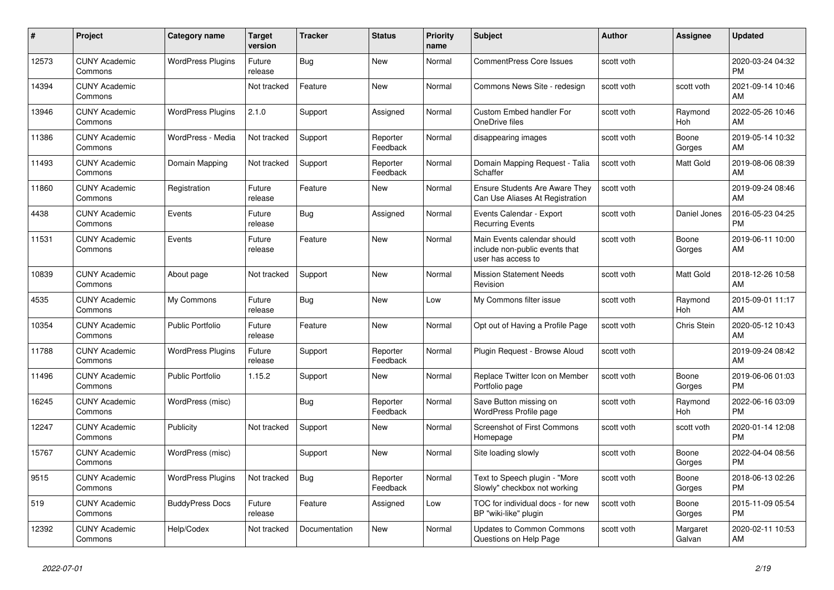| #     | Project                         | <b>Category name</b>     | <b>Target</b><br>version | <b>Tracker</b> | <b>Status</b>        | <b>Priority</b><br>name | <b>Subject</b>                                                                      | <b>Author</b> | Assignee              | <b>Updated</b>                |
|-------|---------------------------------|--------------------------|--------------------------|----------------|----------------------|-------------------------|-------------------------------------------------------------------------------------|---------------|-----------------------|-------------------------------|
| 12573 | <b>CUNY Academic</b><br>Commons | <b>WordPress Plugins</b> | Future<br>release        | Bug            | New                  | Normal                  | <b>CommentPress Core Issues</b>                                                     | scott voth    |                       | 2020-03-24 04:32<br><b>PM</b> |
| 14394 | <b>CUNY Academic</b><br>Commons |                          | Not tracked              | Feature        | <b>New</b>           | Normal                  | Commons News Site - redesign                                                        | scott voth    | scott voth            | 2021-09-14 10:46<br>AM        |
| 13946 | <b>CUNY Academic</b><br>Commons | <b>WordPress Plugins</b> | 2.1.0                    | Support        | Assigned             | Normal                  | <b>Custom Embed handler For</b><br>OneDrive files                                   | scott voth    | Raymond<br><b>Hoh</b> | 2022-05-26 10:46<br>AM        |
| 11386 | <b>CUNY Academic</b><br>Commons | WordPress - Media        | Not tracked              | Support        | Reporter<br>Feedback | Normal                  | disappearing images                                                                 | scott voth    | Boone<br>Gorges       | 2019-05-14 10:32<br>AM        |
| 11493 | <b>CUNY Academic</b><br>Commons | Domain Mapping           | Not tracked              | Support        | Reporter<br>Feedback | Normal                  | Domain Mapping Request - Talia<br>Schaffer                                          | scott voth    | Matt Gold             | 2019-08-06 08:39<br>AM        |
| 11860 | <b>CUNY Academic</b><br>Commons | Registration             | Future<br>release        | Feature        | New                  | Normal                  | <b>Ensure Students Are Aware They</b><br>Can Use Aliases At Registration            | scott voth    |                       | 2019-09-24 08:46<br>AM        |
| 4438  | <b>CUNY Academic</b><br>Commons | Events                   | Future<br>release        | Bug            | Assigned             | Normal                  | Events Calendar - Export<br><b>Recurring Events</b>                                 | scott voth    | Daniel Jones          | 2016-05-23 04:25<br><b>PM</b> |
| 11531 | <b>CUNY Academic</b><br>Commons | Events                   | Future<br>release        | Feature        | <b>New</b>           | Normal                  | Main Events calendar should<br>include non-public events that<br>user has access to | scott voth    | Boone<br>Gorges       | 2019-06-11 10:00<br>AM        |
| 10839 | <b>CUNY Academic</b><br>Commons | About page               | Not tracked              | Support        | <b>New</b>           | Normal                  | <b>Mission Statement Needs</b><br>Revision                                          | scott voth    | Matt Gold             | 2018-12-26 10:58<br>AM        |
| 4535  | <b>CUNY Academic</b><br>Commons | My Commons               | Future<br>release        | Bug            | <b>New</b>           | Low                     | My Commons filter issue                                                             | scott voth    | Raymond<br>Hoh        | 2015-09-01 11:17<br>AM        |
| 10354 | <b>CUNY Academic</b><br>Commons | <b>Public Portfolio</b>  | Future<br>release        | Feature        | New                  | Normal                  | Opt out of Having a Profile Page                                                    | scott voth    | Chris Stein           | 2020-05-12 10:43<br>AM        |
| 11788 | <b>CUNY Academic</b><br>Commons | <b>WordPress Plugins</b> | Future<br>release        | Support        | Reporter<br>Feedback | Normal                  | Plugin Request - Browse Aloud                                                       | scott voth    |                       | 2019-09-24 08:42<br>AM        |
| 11496 | <b>CUNY Academic</b><br>Commons | <b>Public Portfolio</b>  | 1.15.2                   | Support        | New                  | Normal                  | Replace Twitter Icon on Member<br>Portfolio page                                    | scott voth    | Boone<br>Gorges       | 2019-06-06 01:03<br><b>PM</b> |
| 16245 | <b>CUNY Academic</b><br>Commons | WordPress (misc)         |                          | Bug            | Reporter<br>Feedback | Normal                  | Save Button missing on<br>WordPress Profile page                                    | scott voth    | Raymond<br>Hoh        | 2022-06-16 03:09<br><b>PM</b> |
| 12247 | <b>CUNY Academic</b><br>Commons | Publicity                | Not tracked              | Support        | New                  | Normal                  | <b>Screenshot of First Commons</b><br>Homepage                                      | scott voth    | scott voth            | 2020-01-14 12:08<br><b>PM</b> |
| 15767 | <b>CUNY Academic</b><br>Commons | WordPress (misc)         |                          | Support        | New                  | Normal                  | Site loading slowly                                                                 | scott voth    | Boone<br>Gorges       | 2022-04-04 08:56<br><b>PM</b> |
| 9515  | <b>CUNY Academic</b><br>Commons | <b>WordPress Plugins</b> | Not tracked              | Bug            | Reporter<br>Feedback | Normal                  | Text to Speech plugin - "More<br>Slowly" checkbox not working                       | scott voth    | Boone<br>Gorges       | 2018-06-13 02:26<br><b>PM</b> |
| 519   | <b>CUNY Academic</b><br>Commons | <b>BuddyPress Docs</b>   | Future<br>release        | Feature        | Assigned             | Low                     | TOC for individual docs - for new<br>BP "wiki-like" plugin                          | scott voth    | Boone<br>Gorges       | 2015-11-09 05:54<br><b>PM</b> |
| 12392 | <b>CUNY Academic</b><br>Commons | Help/Codex               | Not tracked              | Documentation  | <b>New</b>           | Normal                  | Updates to Common Commons<br>Questions on Help Page                                 | scott voth    | Margaret<br>Galvan    | 2020-02-11 10:53<br>AM        |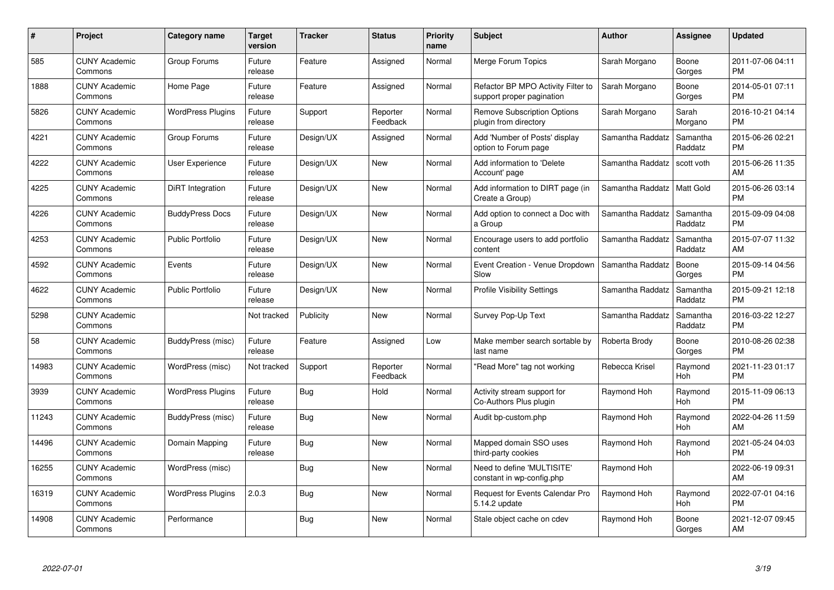| #     | Project                         | <b>Category name</b>     | <b>Target</b><br>version | <b>Tracker</b> | <b>Status</b>        | Priority<br>name | <b>Subject</b>                                                  | <b>Author</b>    | <b>Assignee</b>     | <b>Updated</b>                |
|-------|---------------------------------|--------------------------|--------------------------|----------------|----------------------|------------------|-----------------------------------------------------------------|------------------|---------------------|-------------------------------|
| 585   | <b>CUNY Academic</b><br>Commons | Group Forums             | Future<br>release        | Feature        | Assigned             | Normal           | Merge Forum Topics                                              | Sarah Morgano    | Boone<br>Gorges     | 2011-07-06 04:11<br><b>PM</b> |
| 1888  | <b>CUNY Academic</b><br>Commons | Home Page                | Future<br>release        | Feature        | Assigned             | Normal           | Refactor BP MPO Activity Filter to<br>support proper pagination | Sarah Morgano    | Boone<br>Gorges     | 2014-05-01 07:11<br><b>PM</b> |
| 5826  | <b>CUNY Academic</b><br>Commons | <b>WordPress Plugins</b> | Future<br>release        | Support        | Reporter<br>Feedback | Normal           | <b>Remove Subscription Options</b><br>plugin from directory     | Sarah Morgano    | Sarah<br>Morgano    | 2016-10-21 04:14<br><b>PM</b> |
| 4221  | <b>CUNY Academic</b><br>Commons | Group Forums             | Future<br>release        | Design/UX      | Assigned             | Normal           | Add 'Number of Posts' display<br>option to Forum page           | Samantha Raddatz | Samantha<br>Raddatz | 2015-06-26 02:21<br><b>PM</b> |
| 4222  | <b>CUNY Academic</b><br>Commons | <b>User Experience</b>   | Future<br>release        | Design/UX      | <b>New</b>           | Normal           | Add information to 'Delete<br>Account' page                     | Samantha Raddatz | scott voth          | 2015-06-26 11:35<br>AM        |
| 4225  | <b>CUNY Academic</b><br>Commons | DiRT Integration         | Future<br>release        | Design/UX      | <b>New</b>           | Normal           | Add information to DIRT page (in<br>Create a Group)             | Samantha Raddatz | <b>Matt Gold</b>    | 2015-06-26 03:14<br><b>PM</b> |
| 4226  | <b>CUNY Academic</b><br>Commons | <b>BuddyPress Docs</b>   | Future<br>release        | Design/UX      | New                  | Normal           | Add option to connect a Doc with<br>a Group                     | Samantha Raddatz | Samantha<br>Raddatz | 2015-09-09 04:08<br><b>PM</b> |
| 4253  | <b>CUNY Academic</b><br>Commons | <b>Public Portfolio</b>  | Future<br>release        | Design/UX      | <b>New</b>           | Normal           | Encourage users to add portfolio<br>content                     | Samantha Raddatz | Samantha<br>Raddatz | 2015-07-07 11:32<br>AM        |
| 4592  | <b>CUNY Academic</b><br>Commons | Events                   | Future<br>release        | Design/UX      | New                  | Normal           | Event Creation - Venue Dropdown<br>Slow                         | Samantha Raddatz | Boone<br>Gorges     | 2015-09-14 04:56<br><b>PM</b> |
| 4622  | <b>CUNY Academic</b><br>Commons | <b>Public Portfolio</b>  | Future<br>release        | Design/UX      | New                  | Normal           | <b>Profile Visibility Settings</b>                              | Samantha Raddatz | Samantha<br>Raddatz | 2015-09-21 12:18<br><b>PM</b> |
| 5298  | <b>CUNY Academic</b><br>Commons |                          | Not tracked              | Publicity      | New                  | Normal           | Survey Pop-Up Text                                              | Samantha Raddatz | Samantha<br>Raddatz | 2016-03-22 12:27<br><b>PM</b> |
| 58    | <b>CUNY Academic</b><br>Commons | BuddyPress (misc)        | Future<br>release        | Feature        | Assigned             | Low              | Make member search sortable by<br>last name                     | Roberta Brody    | Boone<br>Gorges     | 2010-08-26 02:38<br><b>PM</b> |
| 14983 | <b>CUNY Academic</b><br>Commons | WordPress (misc)         | Not tracked              | Support        | Reporter<br>Feedback | Normal           | "Read More" tag not working                                     | Rebecca Krisel   | Raymond<br>Hoh      | 2021-11-23 01:17<br><b>PM</b> |
| 3939  | <b>CUNY Academic</b><br>Commons | <b>WordPress Plugins</b> | Future<br>release        | Bug            | Hold                 | Normal           | Activity stream support for<br>Co-Authors Plus plugin           | Raymond Hoh      | Raymond<br>Hoh      | 2015-11-09 06:13<br><b>PM</b> |
| 11243 | <b>CUNY Academic</b><br>Commons | BuddyPress (misc)        | Future<br>release        | Bug            | <b>New</b>           | Normal           | Audit bp-custom.php                                             | Raymond Hoh      | Raymond<br>Hoh      | 2022-04-26 11:59<br>AM        |
| 14496 | <b>CUNY Academic</b><br>Commons | Domain Mapping           | Future<br>release        | Bug            | New                  | Normal           | Mapped domain SSO uses<br>third-party cookies                   | Raymond Hoh      | Raymond<br>Hoh      | 2021-05-24 04:03<br><b>PM</b> |
| 16255 | <b>CUNY Academic</b><br>Commons | WordPress (misc)         |                          | Bug            | New                  | Normal           | Need to define 'MULTISITE'<br>constant in wp-config.php         | Raymond Hoh      |                     | 2022-06-19 09:31<br>AM        |
| 16319 | <b>CUNY Academic</b><br>Commons | <b>WordPress Plugins</b> | 2.0.3                    | <b>Bug</b>     | New                  | Normal           | Request for Events Calendar Pro<br>5.14.2 update                | Raymond Hoh      | Raymond<br>Hoh      | 2022-07-01 04:16<br><b>PM</b> |
| 14908 | CUNY Academic<br>Commons        | Performance              |                          | Bug            | <b>New</b>           | Normal           | Stale object cache on cdev                                      | Raymond Hoh      | Boone<br>Gorges     | 2021-12-07 09:45<br>AM        |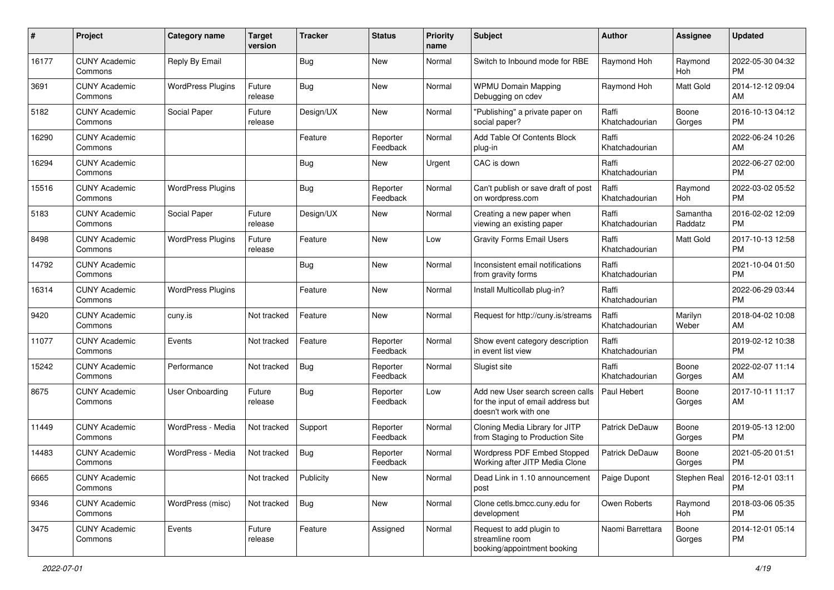| #     | Project                         | <b>Category name</b>     | <b>Target</b><br>version | <b>Tracker</b> | <b>Status</b>        | Priority<br>name | <b>Subject</b>                                                                                  | Author                  | <b>Assignee</b>     | <b>Updated</b>                        |
|-------|---------------------------------|--------------------------|--------------------------|----------------|----------------------|------------------|-------------------------------------------------------------------------------------------------|-------------------------|---------------------|---------------------------------------|
| 16177 | <b>CUNY Academic</b><br>Commons | Reply By Email           |                          | <b>Bug</b>     | <b>New</b>           | Normal           | Switch to Inbound mode for RBE                                                                  | Raymond Hoh             | Raymond<br>Hoh      | 2022-05-30 04:32<br>PM.               |
| 3691  | <b>CUNY Academic</b><br>Commons | <b>WordPress Plugins</b> | Future<br>release        | Bug            | New                  | Normal           | <b>WPMU Domain Mapping</b><br>Debugging on cdev                                                 | Raymond Hoh             | Matt Gold           | 2014-12-12 09:04<br><b>AM</b>         |
| 5182  | <b>CUNY Academic</b><br>Commons | Social Paper             | Future<br>release        | Design/UX      | New                  | Normal           | "Publishing" a private paper on<br>social paper?                                                | Raffi<br>Khatchadourian | Boone<br>Gorges     | 2016-10-13 04:12<br><b>PM</b>         |
| 16290 | <b>CUNY Academic</b><br>Commons |                          |                          | Feature        | Reporter<br>Feedback | Normal           | Add Table Of Contents Block<br>plug-in                                                          | Raffi<br>Khatchadourian |                     | 2022-06-24 10:26<br>AM                |
| 16294 | <b>CUNY Academic</b><br>Commons |                          |                          | Bug            | New                  | Urgent           | CAC is down                                                                                     | Raffi<br>Khatchadourian |                     | 2022-06-27 02:00<br><b>PM</b>         |
| 15516 | <b>CUNY Academic</b><br>Commons | <b>WordPress Plugins</b> |                          | <b>Bug</b>     | Reporter<br>Feedback | Normal           | Can't publish or save draft of post<br>on wordpress.com                                         | Raffi<br>Khatchadourian | Raymond<br>Hoh      | 2022-03-02 05:52<br><b>PM</b>         |
| 5183  | <b>CUNY Academic</b><br>Commons | Social Paper             | Future<br>release        | Design/UX      | New                  | Normal           | Creating a new paper when<br>viewing an existing paper                                          | Raffi<br>Khatchadourian | Samantha<br>Raddatz | 2016-02-02 12:09<br><b>PM</b>         |
| 8498  | <b>CUNY Academic</b><br>Commons | <b>WordPress Plugins</b> | Future<br>release        | Feature        | <b>New</b>           | Low              | <b>Gravity Forms Email Users</b>                                                                | Raffi<br>Khatchadourian | Matt Gold           | 2017-10-13 12:58<br><b>PM</b>         |
| 14792 | <b>CUNY Academic</b><br>Commons |                          |                          | Bug            | New                  | Normal           | Inconsistent email notifications<br>from gravity forms                                          | Raffi<br>Khatchadourian |                     | 2021-10-04 01:50<br><b>PM</b>         |
| 16314 | <b>CUNY Academic</b><br>Commons | <b>WordPress Plugins</b> |                          | Feature        | <b>New</b>           | Normal           | Install Multicollab plug-in?                                                                    | Raffi<br>Khatchadourian |                     | 2022-06-29 03:44<br><b>PM</b>         |
| 9420  | <b>CUNY Academic</b><br>Commons | cuny.is                  | Not tracked              | Feature        | <b>New</b>           | Normal           | Request for http://cuny.is/streams                                                              | Raffi<br>Khatchadourian | Marilyn<br>Weber    | 2018-04-02 10:08<br>AM.               |
| 11077 | <b>CUNY Academic</b><br>Commons | Events                   | Not tracked              | Feature        | Reporter<br>Feedback | Normal           | Show event category description<br>in event list view                                           | Raffi<br>Khatchadourian |                     | 2019-02-12 10:38<br><b>PM</b>         |
| 15242 | <b>CUNY Academic</b><br>Commons | Performance              | Not tracked              | Bug            | Reporter<br>Feedback | Normal           | Slugist site                                                                                    | Raffi<br>Khatchadourian | Boone<br>Gorges     | 2022-02-07 11:14<br>AM                |
| 8675  | <b>CUNY Academic</b><br>Commons | User Onboarding          | Future<br>release        | Bug            | Reporter<br>Feedback | Low              | Add new User search screen calls<br>for the input of email address but<br>doesn't work with one | Paul Hebert             | Boone<br>Gorges     | 2017-10-11 11:17<br>AM                |
| 11449 | <b>CUNY Academic</b><br>Commons | WordPress - Media        | Not tracked              | Support        | Reporter<br>Feedback | Normal           | Cloning Media Library for JITP<br>from Staging to Production Site                               | <b>Patrick DeDauw</b>   | Boone<br>Gorges     | 2019-05-13 12:00<br><b>PM</b>         |
| 14483 | <b>CUNY Academic</b><br>Commons | WordPress - Media        | Not tracked              | Bug            | Reporter<br>Feedback | Normal           | Wordpress PDF Embed Stopped<br>Working after JITP Media Clone                                   | Patrick DeDauw          | Boone<br>Gorges     | 2021-05-20 01:51<br><b>PM</b>         |
| 6665  | <b>CUNY Academic</b><br>Commons |                          | Not tracked              | Publicity      | New                  | Normal           | Dead Link in 1.10 announcement<br>post                                                          | Paige Dupont            |                     | Stephen Real   2016-12-01 03:11<br>PM |
| 9346  | <b>CUNY Academic</b><br>Commons | WordPress (misc)         | Not tracked              | Bug            | New                  | Normal           | Clone cetls.bmcc.cuny.edu for<br>development                                                    | Owen Roberts            | Raymond<br>Hoh      | 2018-03-06 05:35<br><b>PM</b>         |
| 3475  | <b>CUNY Academic</b><br>Commons | Events                   | Future<br>release        | Feature        | Assigned             | Normal           | Request to add plugin to<br>streamline room<br>booking/appointment booking                      | Naomi Barrettara        | Boone<br>Gorges     | 2014-12-01 05:14<br><b>PM</b>         |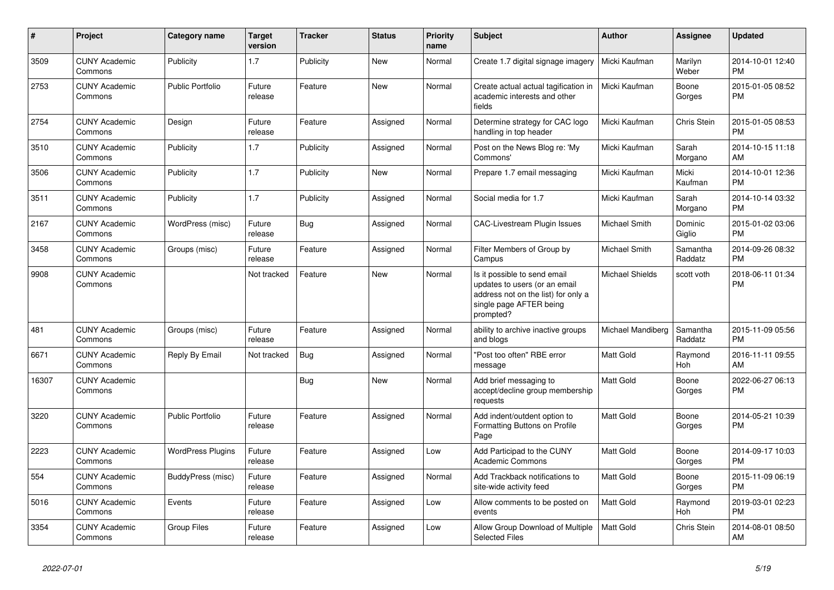| #     | <b>Project</b>                  | Category name            | <b>Target</b><br>version | <b>Tracker</b> | <b>Status</b> | <b>Priority</b><br>name | <b>Subject</b>                                                                                                                               | <b>Author</b>          | Assignee            | <b>Updated</b>                |
|-------|---------------------------------|--------------------------|--------------------------|----------------|---------------|-------------------------|----------------------------------------------------------------------------------------------------------------------------------------------|------------------------|---------------------|-------------------------------|
| 3509  | <b>CUNY Academic</b><br>Commons | Publicity                | 1.7                      | Publicity      | <b>New</b>    | Normal                  | Create 1.7 digital signage imagery                                                                                                           | Micki Kaufman          | Marilyn<br>Weber    | 2014-10-01 12:40<br><b>PM</b> |
| 2753  | <b>CUNY Academic</b><br>Commons | <b>Public Portfolio</b>  | Future<br>release        | Feature        | <b>New</b>    | Normal                  | Create actual actual tagification in<br>academic interests and other<br>fields                                                               | Micki Kaufman          | Boone<br>Gorges     | 2015-01-05 08:52<br><b>PM</b> |
| 2754  | <b>CUNY Academic</b><br>Commons | Design                   | Future<br>release        | Feature        | Assigned      | Normal                  | Determine strategy for CAC logo<br>handling in top header                                                                                    | Micki Kaufman          | Chris Stein         | 2015-01-05 08:53<br><b>PM</b> |
| 3510  | <b>CUNY Academic</b><br>Commons | Publicity                | 1.7                      | Publicity      | Assigned      | Normal                  | Post on the News Blog re: 'My<br>Commons'                                                                                                    | Micki Kaufman          | Sarah<br>Morgano    | 2014-10-15 11:18<br>AM        |
| 3506  | <b>CUNY Academic</b><br>Commons | Publicity                | 1.7                      | Publicity      | New           | Normal                  | Prepare 1.7 email messaging                                                                                                                  | Micki Kaufman          | Micki<br>Kaufman    | 2014-10-01 12:36<br><b>PM</b> |
| 3511  | <b>CUNY Academic</b><br>Commons | Publicity                | 1.7                      | Publicity      | Assigned      | Normal                  | Social media for 1.7                                                                                                                         | Micki Kaufman          | Sarah<br>Morgano    | 2014-10-14 03:32<br><b>PM</b> |
| 2167  | <b>CUNY Academic</b><br>Commons | WordPress (misc)         | Future<br>release        | Bug            | Assigned      | Normal                  | <b>CAC-Livestream Plugin Issues</b>                                                                                                          | Michael Smith          | Dominic<br>Giglio   | 2015-01-02 03:06<br><b>PM</b> |
| 3458  | <b>CUNY Academic</b><br>Commons | Groups (misc)            | Future<br>release        | Feature        | Assigned      | Normal                  | Filter Members of Group by<br>Campus                                                                                                         | Michael Smith          | Samantha<br>Raddatz | 2014-09-26 08:32<br><b>PM</b> |
| 9908  | <b>CUNY Academic</b><br>Commons |                          | Not tracked              | Feature        | New           | Normal                  | Is it possible to send email<br>updates to users (or an email<br>address not on the list) for only a<br>single page AFTER being<br>prompted? | <b>Michael Shields</b> | scott voth          | 2018-06-11 01:34<br><b>PM</b> |
| 481   | <b>CUNY Academic</b><br>Commons | Groups (misc)            | Future<br>release        | Feature        | Assigned      | Normal                  | ability to archive inactive groups<br>and blogs                                                                                              | Michael Mandiberg      | Samantha<br>Raddatz | 2015-11-09 05:56<br><b>PM</b> |
| 6671  | <b>CUNY Academic</b><br>Commons | Reply By Email           | Not tracked              | Bug            | Assigned      | Normal                  | "Post too often" RBE error<br>message                                                                                                        | <b>Matt Gold</b>       | Raymond<br>Hoh      | 2016-11-11 09:55<br>AM        |
| 16307 | <b>CUNY Academic</b><br>Commons |                          |                          | Bug            | New           | Normal                  | Add brief messaging to<br>accept/decline group membership<br>requests                                                                        | <b>Matt Gold</b>       | Boone<br>Gorges     | 2022-06-27 06:13<br><b>PM</b> |
| 3220  | <b>CUNY Academic</b><br>Commons | <b>Public Portfolio</b>  | Future<br>release        | Feature        | Assigned      | Normal                  | Add indent/outdent option to<br>Formatting Buttons on Profile<br>Page                                                                        | <b>Matt Gold</b>       | Boone<br>Gorges     | 2014-05-21 10:39<br><b>PM</b> |
| 2223  | <b>CUNY Academic</b><br>Commons | <b>WordPress Plugins</b> | Future<br>release        | Feature        | Assigned      | Low                     | Add Participad to the CUNY<br><b>Academic Commons</b>                                                                                        | <b>Matt Gold</b>       | Boone<br>Gorges     | 2014-09-17 10:03<br><b>PM</b> |
| 554   | <b>CUNY Academic</b><br>Commons | BuddyPress (misc)        | Future<br>release        | Feature        | Assigned      | Normal                  | Add Trackback notifications to<br>site-wide activity feed                                                                                    | Matt Gold              | Boone<br>Gorges     | 2015-11-09 06:19<br><b>PM</b> |
| 5016  | <b>CUNY Academic</b><br>Commons | Events                   | Future<br>release        | Feature        | Assigned      | Low                     | Allow comments to be posted on<br>events                                                                                                     | <b>Matt Gold</b>       | Raymond<br>Hoh      | 2019-03-01 02:23<br><b>PM</b> |
| 3354  | <b>CUNY Academic</b><br>Commons | <b>Group Files</b>       | Future<br>release        | Feature        | Assigned      | Low                     | Allow Group Download of Multiple<br><b>Selected Files</b>                                                                                    | <b>Matt Gold</b>       | Chris Stein         | 2014-08-01 08:50<br>AM        |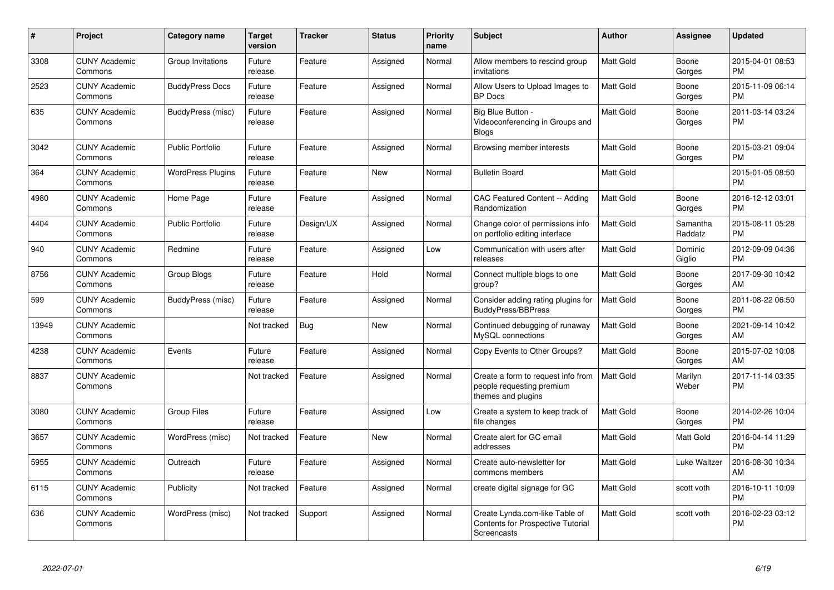| #     | Project                         | <b>Category name</b>     | Target<br>version | <b>Tracker</b> | <b>Status</b> | <b>Priority</b><br>name | <b>Subject</b>                                                                            | <b>Author</b>    | <b>Assignee</b>     | <b>Updated</b>                |
|-------|---------------------------------|--------------------------|-------------------|----------------|---------------|-------------------------|-------------------------------------------------------------------------------------------|------------------|---------------------|-------------------------------|
| 3308  | <b>CUNY Academic</b><br>Commons | Group Invitations        | Future<br>release | Feature        | Assigned      | Normal                  | Allow members to rescind group<br>invitations                                             | <b>Matt Gold</b> | Boone<br>Gorges     | 2015-04-01 08:53<br><b>PM</b> |
| 2523  | <b>CUNY Academic</b><br>Commons | <b>BuddyPress Docs</b>   | Future<br>release | Feature        | Assigned      | Normal                  | Allow Users to Upload Images to<br><b>BP</b> Docs                                         | <b>Matt Gold</b> | Boone<br>Gorges     | 2015-11-09 06:14<br><b>PM</b> |
| 635   | <b>CUNY Academic</b><br>Commons | BuddyPress (misc)        | Future<br>release | Feature        | Assigned      | Normal                  | Big Blue Button -<br>Videoconferencing in Groups and<br><b>Blogs</b>                      | Matt Gold        | Boone<br>Gorges     | 2011-03-14 03:24<br><b>PM</b> |
| 3042  | <b>CUNY Academic</b><br>Commons | Public Portfolio         | Future<br>release | Feature        | Assigned      | Normal                  | Browsing member interests                                                                 | <b>Matt Gold</b> | Boone<br>Gorges     | 2015-03-21 09:04<br>PM.       |
| 364   | <b>CUNY Academic</b><br>Commons | <b>WordPress Plugins</b> | Future<br>release | Feature        | New           | Normal                  | <b>Bulletin Board</b>                                                                     | <b>Matt Gold</b> |                     | 2015-01-05 08:50<br><b>PM</b> |
| 4980  | <b>CUNY Academic</b><br>Commons | Home Page                | Future<br>release | Feature        | Assigned      | Normal                  | CAC Featured Content -- Adding<br>Randomization                                           | <b>Matt Gold</b> | Boone<br>Gorges     | 2016-12-12 03:01<br><b>PM</b> |
| 4404  | <b>CUNY Academic</b><br>Commons | <b>Public Portfolio</b>  | Future<br>release | Design/UX      | Assigned      | Normal                  | Change color of permissions info<br>on portfolio editing interface                        | <b>Matt Gold</b> | Samantha<br>Raddatz | 2015-08-11 05:28<br><b>PM</b> |
| 940   | <b>CUNY Academic</b><br>Commons | Redmine                  | Future<br>release | Feature        | Assigned      | Low                     | Communication with users after<br>releases                                                | <b>Matt Gold</b> | Dominic<br>Giglio   | 2012-09-09 04:36<br><b>PM</b> |
| 8756  | <b>CUNY Academic</b><br>Commons | Group Blogs              | Future<br>release | Feature        | Hold          | Normal                  | Connect multiple blogs to one<br>group?                                                   | Matt Gold        | Boone<br>Gorges     | 2017-09-30 10:42<br>AM        |
| 599   | <b>CUNY Academic</b><br>Commons | BuddyPress (misc)        | Future<br>release | Feature        | Assigned      | Normal                  | Consider adding rating plugins for<br><b>BuddyPress/BBPress</b>                           | <b>Matt Gold</b> | Boone<br>Gorges     | 2011-08-22 06:50<br><b>PM</b> |
| 13949 | <b>CUNY Academic</b><br>Commons |                          | Not tracked       | <b>Bug</b>     | New           | Normal                  | Continued debugging of runaway<br>MySQL connections                                       | <b>Matt Gold</b> | Boone<br>Gorges     | 2021-09-14 10:42<br>AM        |
| 4238  | <b>CUNY Academic</b><br>Commons | Events                   | Future<br>release | Feature        | Assigned      | Normal                  | Copy Events to Other Groups?                                                              | <b>Matt Gold</b> | Boone<br>Gorges     | 2015-07-02 10:08<br><b>AM</b> |
| 8837  | <b>CUNY Academic</b><br>Commons |                          | Not tracked       | Feature        | Assigned      | Normal                  | Create a form to request info from<br>people requesting premium<br>themes and plugins     | <b>Matt Gold</b> | Marilyn<br>Weber    | 2017-11-14 03:35<br><b>PM</b> |
| 3080  | <b>CUNY Academic</b><br>Commons | <b>Group Files</b>       | Future<br>release | Feature        | Assigned      | Low                     | Create a system to keep track of<br>file changes                                          | Matt Gold        | Boone<br>Gorges     | 2014-02-26 10:04<br><b>PM</b> |
| 3657  | <b>CUNY Academic</b><br>Commons | WordPress (misc)         | Not tracked       | Feature        | New           | Normal                  | Create alert for GC email<br>addresses                                                    | Matt Gold        | Matt Gold           | 2016-04-14 11:29<br><b>PM</b> |
| 5955  | <b>CUNY Academic</b><br>Commons | Outreach                 | Future<br>release | Feature        | Assigned      | Normal                  | Create auto-newsletter for<br>commons members                                             | Matt Gold        | Luke Waltzer        | 2016-08-30 10:34<br><b>AM</b> |
| 6115  | <b>CUNY Academic</b><br>Commons | Publicity                | Not tracked       | Feature        | Assigned      | Normal                  | create digital signage for GC                                                             | Matt Gold        | scott voth          | 2016-10-11 10:09<br><b>PM</b> |
| 636   | <b>CUNY Academic</b><br>Commons | WordPress (misc)         | Not tracked       | Support        | Assigned      | Normal                  | Create Lynda.com-like Table of<br><b>Contents for Prospective Tutorial</b><br>Screencasts | <b>Matt Gold</b> | scott voth          | 2016-02-23 03:12<br><b>PM</b> |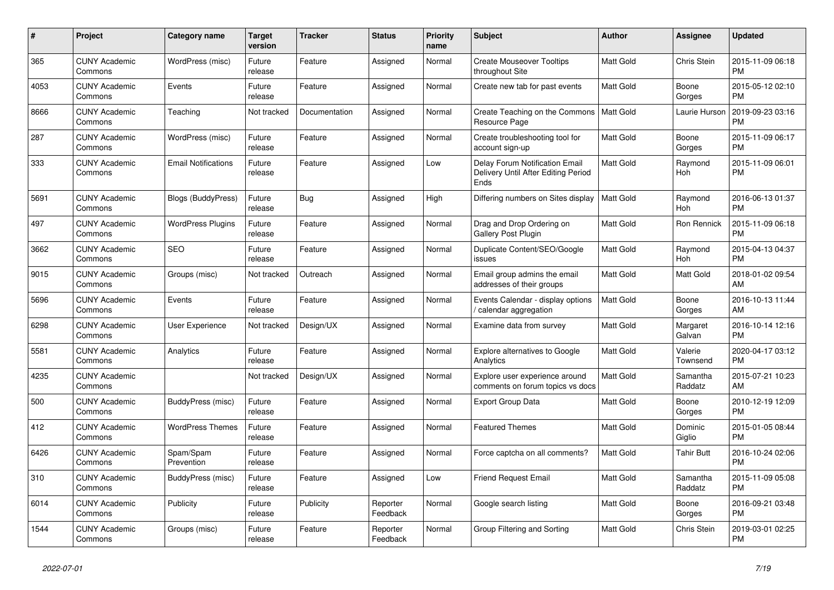| #    | Project                         | <b>Category name</b>       | <b>Target</b><br>version | <b>Tracker</b> | <b>Status</b>        | <b>Priority</b><br>name | <b>Subject</b>                                                                | <b>Author</b>    | Assignee            | <b>Updated</b>                |
|------|---------------------------------|----------------------------|--------------------------|----------------|----------------------|-------------------------|-------------------------------------------------------------------------------|------------------|---------------------|-------------------------------|
| 365  | <b>CUNY Academic</b><br>Commons | WordPress (misc)           | Future<br>release        | Feature        | Assigned             | Normal                  | <b>Create Mouseover Tooltips</b><br>throughout Site                           | <b>Matt Gold</b> | Chris Stein         | 2015-11-09 06:18<br><b>PM</b> |
| 4053 | <b>CUNY Academic</b><br>Commons | Events                     | Future<br>release        | Feature        | Assigned             | Normal                  | Create new tab for past events                                                | <b>Matt Gold</b> | Boone<br>Gorges     | 2015-05-12 02:10<br><b>PM</b> |
| 8666 | <b>CUNY Academic</b><br>Commons | Teaching                   | Not tracked              | Documentation  | Assigned             | Normal                  | Create Teaching on the Commons<br>Resource Page                               | <b>Matt Gold</b> | Laurie Hurson       | 2019-09-23 03:16<br><b>PM</b> |
| 287  | <b>CUNY Academic</b><br>Commons | WordPress (misc)           | Future<br>release        | Feature        | Assigned             | Normal                  | Create troubleshooting tool for<br>account sign-up                            | <b>Matt Gold</b> | Boone<br>Gorges     | 2015-11-09 06:17<br><b>PM</b> |
| 333  | <b>CUNY Academic</b><br>Commons | <b>Email Notifications</b> | Future<br>release        | Feature        | Assigned             | Low                     | Delay Forum Notification Email<br>Delivery Until After Editing Period<br>Ends | Matt Gold        | Raymond<br>Hoh      | 2015-11-09 06:01<br><b>PM</b> |
| 5691 | <b>CUNY Academic</b><br>Commons | Blogs (BuddyPress)         | Future<br>release        | Bug            | Assigned             | High                    | Differing numbers on Sites display                                            | <b>Matt Gold</b> | Raymond<br>Hoh      | 2016-06-13 01:37<br><b>PM</b> |
| 497  | <b>CUNY Academic</b><br>Commons | <b>WordPress Plugins</b>   | Future<br>release        | Feature        | Assigned             | Normal                  | Drag and Drop Ordering on<br>Gallery Post Plugin                              | Matt Gold        | Ron Rennick         | 2015-11-09 06:18<br><b>PM</b> |
| 3662 | <b>CUNY Academic</b><br>Commons | <b>SEO</b>                 | Future<br>release        | Feature        | Assigned             | Normal                  | Duplicate Content/SEO/Google<br>issues                                        | Matt Gold        | Raymond<br>Hoh      | 2015-04-13 04:37<br><b>PM</b> |
| 9015 | <b>CUNY Academic</b><br>Commons | Groups (misc)              | Not tracked              | Outreach       | Assigned             | Normal                  | Email group admins the email<br>addresses of their groups                     | <b>Matt Gold</b> | Matt Gold           | 2018-01-02 09:54<br>AM        |
| 5696 | <b>CUNY Academic</b><br>Commons | Events                     | Future<br>release        | Feature        | Assigned             | Normal                  | Events Calendar - display options<br>calendar aggregation                     | <b>Matt Gold</b> | Boone<br>Gorges     | 2016-10-13 11:44<br>AM        |
| 6298 | <b>CUNY Academic</b><br>Commons | User Experience            | Not tracked              | Design/UX      | Assigned             | Normal                  | Examine data from survey                                                      | Matt Gold        | Margaret<br>Galvan  | 2016-10-14 12:16<br><b>PM</b> |
| 5581 | <b>CUNY Academic</b><br>Commons | Analytics                  | Future<br>release        | Feature        | Assigned             | Normal                  | <b>Explore alternatives to Google</b><br>Analytics                            | <b>Matt Gold</b> | Valerie<br>Townsend | 2020-04-17 03:12<br><b>PM</b> |
| 4235 | <b>CUNY Academic</b><br>Commons |                            | Not tracked              | Design/UX      | Assigned             | Normal                  | Explore user experience around<br>comments on forum topics vs docs            | <b>Matt Gold</b> | Samantha<br>Raddatz | 2015-07-21 10:23<br>AM        |
| 500  | <b>CUNY Academic</b><br>Commons | BuddyPress (misc)          | Future<br>release        | Feature        | Assigned             | Normal                  | <b>Export Group Data</b>                                                      | Matt Gold        | Boone<br>Gorges     | 2010-12-19 12:09<br><b>PM</b> |
| 412  | <b>CUNY Academic</b><br>Commons | <b>WordPress Themes</b>    | Future<br>release        | Feature        | Assigned             | Normal                  | <b>Featured Themes</b>                                                        | <b>Matt Gold</b> | Dominic<br>Giglio   | 2015-01-05 08:44<br><b>PM</b> |
| 6426 | <b>CUNY Academic</b><br>Commons | Spam/Spam<br>Prevention    | Future<br>release        | Feature        | Assigned             | Normal                  | Force captcha on all comments?                                                | <b>Matt Gold</b> | Tahir Butt          | 2016-10-24 02:06<br><b>PM</b> |
| 310  | <b>CUNY Academic</b><br>Commons | BuddyPress (misc)          | Future<br>release        | Feature        | Assigned             | Low                     | <b>Friend Request Email</b>                                                   | Matt Gold        | Samantha<br>Raddatz | 2015-11-09 05:08<br><b>PM</b> |
| 6014 | <b>CUNY Academic</b><br>Commons | Publicity                  | Future<br>release        | Publicity      | Reporter<br>Feedback | Normal                  | Google search listing                                                         | <b>Matt Gold</b> | Boone<br>Gorges     | 2016-09-21 03:48<br><b>PM</b> |
| 1544 | <b>CUNY Academic</b><br>Commons | Groups (misc)              | Future<br>release        | Feature        | Reporter<br>Feedback | Normal                  | Group Filtering and Sorting                                                   | Matt Gold        | Chris Stein         | 2019-03-01 02:25<br><b>PM</b> |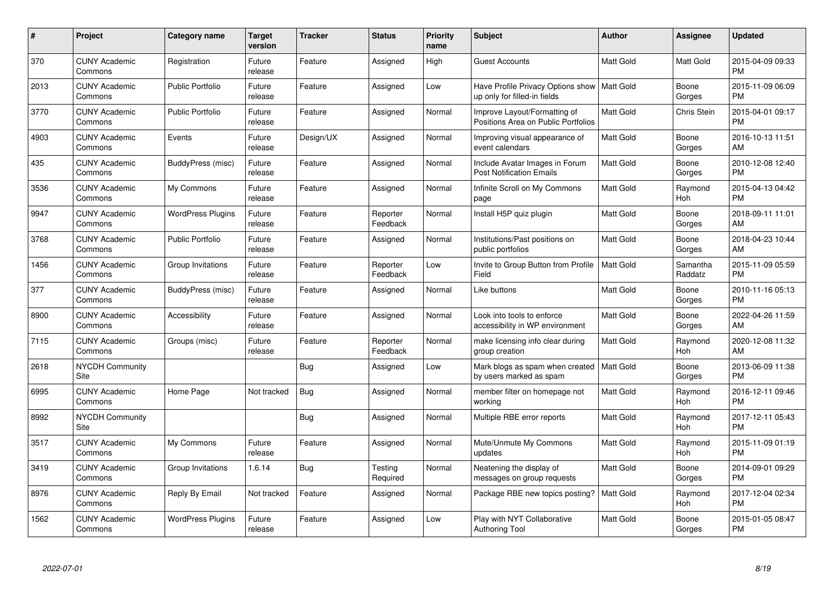| #    | Project                         | <b>Category name</b>     | <b>Target</b><br>version | <b>Tracker</b> | <b>Status</b>        | <b>Priority</b><br>name | <b>Subject</b>                                                                | <b>Author</b>    | Assignee            | <b>Updated</b>                |
|------|---------------------------------|--------------------------|--------------------------|----------------|----------------------|-------------------------|-------------------------------------------------------------------------------|------------------|---------------------|-------------------------------|
| 370  | <b>CUNY Academic</b><br>Commons | Registration             | Future<br>release        | Feature        | Assigned             | High                    | <b>Guest Accounts</b>                                                         | <b>Matt Gold</b> | Matt Gold           | 2015-04-09 09:33<br><b>PM</b> |
| 2013 | <b>CUNY Academic</b><br>Commons | <b>Public Portfolio</b>  | Future<br>release        | Feature        | Assigned             | Low                     | Have Profile Privacy Options show   Matt Gold<br>up only for filled-in fields |                  | Boone<br>Gorges     | 2015-11-09 06:09<br><b>PM</b> |
| 3770 | <b>CUNY Academic</b><br>Commons | <b>Public Portfolio</b>  | Future<br>release        | Feature        | Assigned             | Normal                  | Improve Layout/Formatting of<br>Positions Area on Public Portfolios           | <b>Matt Gold</b> | Chris Stein         | 2015-04-01 09:17<br><b>PM</b> |
| 4903 | <b>CUNY Academic</b><br>Commons | Events                   | Future<br>release        | Design/UX      | Assigned             | Normal                  | Improving visual appearance of<br>event calendars                             | Matt Gold        | Boone<br>Gorges     | 2016-10-13 11:51<br>AM        |
| 435  | <b>CUNY Academic</b><br>Commons | BuddyPress (misc)        | Future<br>release        | Feature        | Assigned             | Normal                  | Include Avatar Images in Forum<br><b>Post Notification Emails</b>             | <b>Matt Gold</b> | Boone<br>Gorges     | 2010-12-08 12:40<br><b>PM</b> |
| 3536 | <b>CUNY Academic</b><br>Commons | My Commons               | Future<br>release        | Feature        | Assigned             | Normal                  | Infinite Scroll on My Commons<br>page                                         | <b>Matt Gold</b> | Raymond<br>Hoh      | 2015-04-13 04:42<br><b>PM</b> |
| 9947 | <b>CUNY Academic</b><br>Commons | <b>WordPress Plugins</b> | Future<br>release        | Feature        | Reporter<br>Feedback | Normal                  | Install H5P quiz plugin                                                       | <b>Matt Gold</b> | Boone<br>Gorges     | 2018-09-11 11:01<br>AM        |
| 3768 | <b>CUNY Academic</b><br>Commons | <b>Public Portfolio</b>  | Future<br>release        | Feature        | Assigned             | Normal                  | Institutions/Past positions on<br>public portfolios                           | Matt Gold        | Boone<br>Gorges     | 2018-04-23 10:44<br>AM        |
| 1456 | <b>CUNY Academic</b><br>Commons | Group Invitations        | Future<br>release        | Feature        | Reporter<br>Feedback | Low                     | Invite to Group Button from Profile<br>Field                                  | <b>Matt Gold</b> | Samantha<br>Raddatz | 2015-11-09 05:59<br><b>PM</b> |
| 377  | <b>CUNY Academic</b><br>Commons | BuddyPress (misc)        | Future<br>release        | Feature        | Assigned             | Normal                  | Like buttons                                                                  | Matt Gold        | Boone<br>Gorges     | 2010-11-16 05:13<br><b>PM</b> |
| 8900 | <b>CUNY Academic</b><br>Commons | Accessibility            | Future<br>release        | Feature        | Assigned             | Normal                  | Look into tools to enforce<br>accessibility in WP environment                 | Matt Gold        | Boone<br>Gorges     | 2022-04-26 11:59<br>AM        |
| 7115 | <b>CUNY Academic</b><br>Commons | Groups (misc)            | Future<br>release        | Feature        | Reporter<br>Feedback | Normal                  | make licensing info clear during<br>group creation                            | Matt Gold        | Raymond<br>Hoh      | 2020-12-08 11:32<br>AM        |
| 2618 | <b>NYCDH Community</b><br>Site  |                          |                          | Bug            | Assigned             | Low                     | Mark blogs as spam when created   Matt Gold<br>by users marked as spam        |                  | Boone<br>Gorges     | 2013-06-09 11:38<br><b>PM</b> |
| 6995 | <b>CUNY Academic</b><br>Commons | Home Page                | Not tracked              | Bug            | Assigned             | Normal                  | member filter on homepage not<br>working                                      | Matt Gold        | Raymond<br>Hoh      | 2016-12-11 09:46<br><b>PM</b> |
| 8992 | <b>NYCDH Community</b><br>Site  |                          |                          | Bug            | Assigned             | Normal                  | Multiple RBE error reports                                                    | Matt Gold        | Raymond<br>Hoh      | 2017-12-11 05:43<br><b>PM</b> |
| 3517 | <b>CUNY Academic</b><br>Commons | My Commons               | Future<br>release        | Feature        | Assigned             | Normal                  | Mute/Unmute My Commons<br>updates                                             | Matt Gold        | Raymond<br>Hoh      | 2015-11-09 01:19<br><b>PM</b> |
| 3419 | <b>CUNY Academic</b><br>Commons | Group Invitations        | 1.6.14                   | Bug            | Testing<br>Required  | Normal                  | Neatening the display of<br>messages on group requests                        | Matt Gold        | Boone<br>Gorges     | 2014-09-01 09:29<br><b>PM</b> |
| 8976 | <b>CUNY Academic</b><br>Commons | Reply By Email           | Not tracked              | Feature        | Assigned             | Normal                  | Package RBE new topics posting?                                               | Matt Gold        | Raymond<br>Hoh      | 2017-12-04 02:34<br><b>PM</b> |
| 1562 | CUNY Academic<br>Commons        | <b>WordPress Plugins</b> | Future<br>release        | Feature        | Assigned             | Low                     | Play with NYT Collaborative<br>Authoring Tool                                 | <b>Matt Gold</b> | Boone<br>Gorges     | 2015-01-05 08:47<br><b>PM</b> |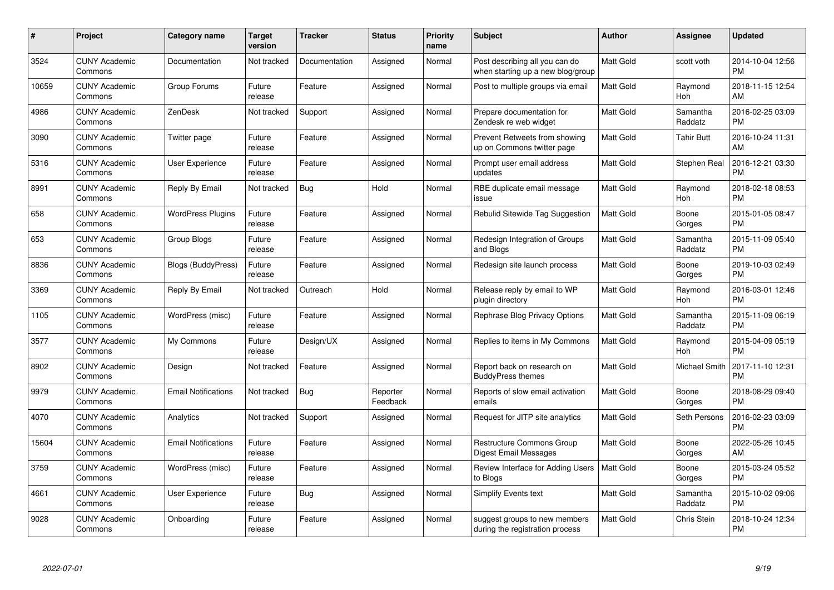| #     | Project                         | <b>Category name</b>       | <b>Target</b><br>version | <b>Tracker</b> | <b>Status</b>        | <b>Priority</b><br>name | <b>Subject</b>                                                      | <b>Author</b>    | <b>Assignee</b>     | <b>Updated</b>                |
|-------|---------------------------------|----------------------------|--------------------------|----------------|----------------------|-------------------------|---------------------------------------------------------------------|------------------|---------------------|-------------------------------|
| 3524  | <b>CUNY Academic</b><br>Commons | Documentation              | Not tracked              | Documentation  | Assigned             | Normal                  | Post describing all you can do<br>when starting up a new blog/group | <b>Matt Gold</b> | scott voth          | 2014-10-04 12:56<br><b>PM</b> |
| 10659 | <b>CUNY Academic</b><br>Commons | Group Forums               | Future<br>release        | Feature        | Assigned             | Normal                  | Post to multiple groups via email                                   | <b>Matt Gold</b> | Raymond<br>Hoh      | 2018-11-15 12:54<br>AM        |
| 4986  | <b>CUNY Academic</b><br>Commons | ZenDesk                    | Not tracked              | Support        | Assigned             | Normal                  | Prepare documentation for<br>Zendesk re web widget                  | <b>Matt Gold</b> | Samantha<br>Raddatz | 2016-02-25 03:09<br><b>PM</b> |
| 3090  | <b>CUNY Academic</b><br>Commons | Twitter page               | Future<br>release        | Feature        | Assigned             | Normal                  | Prevent Retweets from showing<br>up on Commons twitter page         | Matt Gold        | Tahir Butt          | 2016-10-24 11:31<br>AM        |
| 5316  | <b>CUNY Academic</b><br>Commons | <b>User Experience</b>     | Future<br>release        | Feature        | Assigned             | Normal                  | Prompt user email address<br>updates                                | <b>Matt Gold</b> | Stephen Real        | 2016-12-21 03:30<br><b>PM</b> |
| 8991  | <b>CUNY Academic</b><br>Commons | Reply By Email             | Not tracked              | <b>Bug</b>     | Hold                 | Normal                  | RBE duplicate email message<br>issue                                | <b>Matt Gold</b> | Raymond<br>Hoh      | 2018-02-18 08:53<br><b>PM</b> |
| 658   | <b>CUNY Academic</b><br>Commons | <b>WordPress Plugins</b>   | Future<br>release        | Feature        | Assigned             | Normal                  | Rebulid Sitewide Tag Suggestion                                     | <b>Matt Gold</b> | Boone<br>Gorges     | 2015-01-05 08:47<br><b>PM</b> |
| 653   | <b>CUNY Academic</b><br>Commons | Group Blogs                | Future<br>release        | Feature        | Assigned             | Normal                  | Redesign Integration of Groups<br>and Blogs                         | <b>Matt Gold</b> | Samantha<br>Raddatz | 2015-11-09 05:40<br><b>PM</b> |
| 8836  | <b>CUNY Academic</b><br>Commons | <b>Blogs (BuddyPress)</b>  | Future<br>release        | Feature        | Assigned             | Normal                  | Redesign site launch process                                        | <b>Matt Gold</b> | Boone<br>Gorges     | 2019-10-03 02:49<br><b>PM</b> |
| 3369  | <b>CUNY Academic</b><br>Commons | Reply By Email             | Not tracked              | Outreach       | Hold                 | Normal                  | Release reply by email to WP<br>plugin directory                    | <b>Matt Gold</b> | Raymond<br>Hoh      | 2016-03-01 12:46<br><b>PM</b> |
| 1105  | <b>CUNY Academic</b><br>Commons | WordPress (misc)           | Future<br>release        | Feature        | Assigned             | Normal                  | Rephrase Blog Privacy Options                                       | Matt Gold        | Samantha<br>Raddatz | 2015-11-09 06:19<br><b>PM</b> |
| 3577  | <b>CUNY Academic</b><br>Commons | My Commons                 | Future<br>release        | Design/UX      | Assigned             | Normal                  | Replies to items in My Commons                                      | Matt Gold        | Raymond<br>Hoh      | 2015-04-09 05:19<br><b>PM</b> |
| 8902  | <b>CUNY Academic</b><br>Commons | Design                     | Not tracked              | Feature        | Assigned             | Normal                  | Report back on research on<br><b>BuddyPress themes</b>              | Matt Gold        | Michael Smith       | 2017-11-10 12:31<br><b>PM</b> |
| 9979  | <b>CUNY Academic</b><br>Commons | <b>Email Notifications</b> | Not tracked              | Bug            | Reporter<br>Feedback | Normal                  | Reports of slow email activation<br>emails                          | <b>Matt Gold</b> | Boone<br>Gorges     | 2018-08-29 09:40<br><b>PM</b> |
| 4070  | <b>CUNY Academic</b><br>Commons | Analytics                  | Not tracked              | Support        | Assigned             | Normal                  | Request for JITP site analytics                                     | Matt Gold        | Seth Persons        | 2016-02-23 03:09<br><b>PM</b> |
| 15604 | <b>CUNY Academic</b><br>Commons | <b>Email Notifications</b> | Future<br>release        | Feature        | Assigned             | Normal                  | <b>Restructure Commons Group</b><br>Digest Email Messages           | <b>Matt Gold</b> | Boone<br>Gorges     | 2022-05-26 10:45<br>AM        |
| 3759  | <b>CUNY Academic</b><br>Commons | WordPress (misc)           | Future<br>release        | Feature        | Assigned             | Normal                  | Review Interface for Adding Users<br>to Blogs                       | <b>Matt Gold</b> | Boone<br>Gorges     | 2015-03-24 05:52<br><b>PM</b> |
| 4661  | <b>CUNY Academic</b><br>Commons | User Experience            | Future<br>release        | Bug            | Assigned             | Normal                  | <b>Simplify Events text</b>                                         | <b>Matt Gold</b> | Samantha<br>Raddatz | 2015-10-02 09:06<br><b>PM</b> |
| 9028  | <b>CUNY Academic</b><br>Commons | Onboarding                 | Future<br>release        | Feature        | Assigned             | Normal                  | suggest groups to new members<br>during the registration process    | <b>Matt Gold</b> | <b>Chris Stein</b>  | 2018-10-24 12:34<br><b>PM</b> |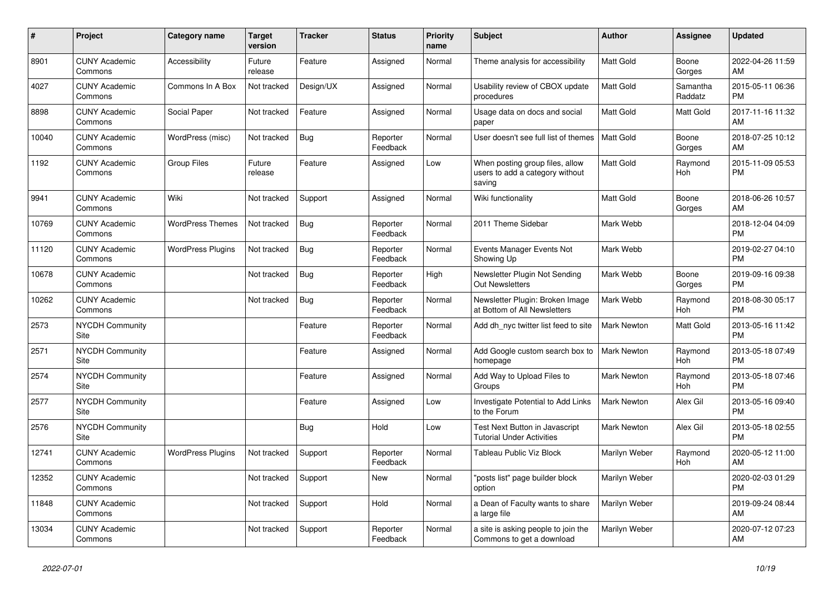| #     | <b>Project</b>                  | Category name            | <b>Target</b><br>version | <b>Tracker</b> | <b>Status</b>        | <b>Priority</b><br>name | <b>Subject</b>                                                               | <b>Author</b>      | Assignee            | <b>Updated</b>                |
|-------|---------------------------------|--------------------------|--------------------------|----------------|----------------------|-------------------------|------------------------------------------------------------------------------|--------------------|---------------------|-------------------------------|
| 8901  | <b>CUNY Academic</b><br>Commons | Accessibility            | Future<br>release        | Feature        | Assigned             | Normal                  | Theme analysis for accessibility                                             | <b>Matt Gold</b>   | Boone<br>Gorges     | 2022-04-26 11:59<br>AM        |
| 4027  | <b>CUNY Academic</b><br>Commons | Commons In A Box         | Not tracked              | Design/UX      | Assigned             | Normal                  | Usability review of CBOX update<br>procedures                                | <b>Matt Gold</b>   | Samantha<br>Raddatz | 2015-05-11 06:36<br><b>PM</b> |
| 8898  | <b>CUNY Academic</b><br>Commons | Social Paper             | Not tracked              | Feature        | Assigned             | Normal                  | Usage data on docs and social<br>paper                                       | <b>Matt Gold</b>   | Matt Gold           | 2017-11-16 11:32<br>AM        |
| 10040 | <b>CUNY Academic</b><br>Commons | WordPress (misc)         | Not tracked              | Bug            | Reporter<br>Feedback | Normal                  | User doesn't see full list of themes                                         | Matt Gold          | Boone<br>Gorges     | 2018-07-25 10:12<br>AM        |
| 1192  | <b>CUNY Academic</b><br>Commons | <b>Group Files</b>       | Future<br>release        | Feature        | Assigned             | Low                     | When posting group files, allow<br>users to add a category without<br>saving | <b>Matt Gold</b>   | Raymond<br>Hoh      | 2015-11-09 05:53<br><b>PM</b> |
| 9941  | <b>CUNY Academic</b><br>Commons | Wiki                     | Not tracked              | Support        | Assigned             | Normal                  | Wiki functionality                                                           | <b>Matt Gold</b>   | Boone<br>Gorges     | 2018-06-26 10:57<br>AM        |
| 10769 | <b>CUNY Academic</b><br>Commons | <b>WordPress Themes</b>  | Not tracked              | Bug            | Reporter<br>Feedback | Normal                  | 2011 Theme Sidebar                                                           | Mark Webb          |                     | 2018-12-04 04:09<br><b>PM</b> |
| 11120 | <b>CUNY Academic</b><br>Commons | <b>WordPress Plugins</b> | Not tracked              | Bug            | Reporter<br>Feedback | Normal                  | Events Manager Events Not<br>Showing Up                                      | Mark Webb          |                     | 2019-02-27 04:10<br><b>PM</b> |
| 10678 | <b>CUNY Academic</b><br>Commons |                          | Not tracked              | <b>Bug</b>     | Reporter<br>Feedback | High                    | Newsletter Plugin Not Sending<br><b>Out Newsletters</b>                      | Mark Webb          | Boone<br>Gorges     | 2019-09-16 09:38<br><b>PM</b> |
| 10262 | <b>CUNY Academic</b><br>Commons |                          | Not tracked              | Bug            | Reporter<br>Feedback | Normal                  | Newsletter Plugin: Broken Image<br>at Bottom of All Newsletters              | Mark Webb          | Raymond<br>Hoh      | 2018-08-30 05:17<br><b>PM</b> |
| 2573  | <b>NYCDH Community</b><br>Site  |                          |                          | Feature        | Reporter<br>Feedback | Normal                  | Add dh nyc twitter list feed to site                                         | <b>Mark Newton</b> | Matt Gold           | 2013-05-16 11:42<br><b>PM</b> |
| 2571  | <b>NYCDH Community</b><br>Site  |                          |                          | Feature        | Assigned             | Normal                  | Add Google custom search box to<br>homepage                                  | Mark Newton        | Raymond<br>Hoh      | 2013-05-18 07:49<br><b>PM</b> |
| 2574  | <b>NYCDH Community</b><br>Site  |                          |                          | Feature        | Assigned             | Normal                  | Add Way to Upload Files to<br>Groups                                         | <b>Mark Newton</b> | Raymond<br>Hoh      | 2013-05-18 07:46<br><b>PM</b> |
| 2577  | <b>NYCDH Community</b><br>Site  |                          |                          | Feature        | Assigned             | Low                     | Investigate Potential to Add Links<br>to the Forum                           | Mark Newton        | Alex Gil            | 2013-05-16 09:40<br><b>PM</b> |
| 2576  | <b>NYCDH Community</b><br>Site  |                          |                          | Bug            | Hold                 | Low                     | Test Next Button in Javascript<br>Tutorial Under Activities                  | Mark Newton        | Alex Gil            | 2013-05-18 02:55<br><b>PM</b> |
| 12741 | <b>CUNY Academic</b><br>Commons | <b>WordPress Plugins</b> | Not tracked              | Support        | Reporter<br>Feedback | Normal                  | Tableau Public Viz Block                                                     | Marilyn Weber      | Raymond<br>Hoh      | 2020-05-12 11:00<br>AM        |
| 12352 | <b>CUNY Academic</b><br>Commons |                          | Not tracked              | Support        | <b>New</b>           | Normal                  | "posts list" page builder block<br>option                                    | Marilyn Weber      |                     | 2020-02-03 01:29<br><b>PM</b> |
| 11848 | <b>CUNY Academic</b><br>Commons |                          | Not tracked              | Support        | Hold                 | Normal                  | a Dean of Faculty wants to share<br>a large file                             | Marilyn Weber      |                     | 2019-09-24 08:44<br>AM        |
| 13034 | <b>CUNY Academic</b><br>Commons |                          | Not tracked              | Support        | Reporter<br>Feedback | Normal                  | a site is asking people to join the<br>Commons to get a download             | Marilyn Weber      |                     | 2020-07-12 07:23<br>AM        |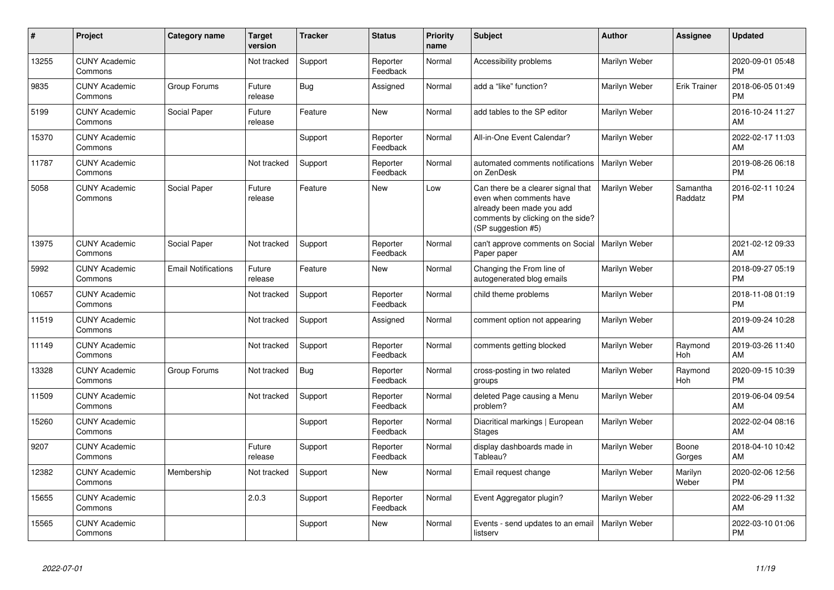| #     | <b>Project</b>                  | Category name              | <b>Target</b><br>version | <b>Tracker</b> | <b>Status</b>        | Priority<br>name | <b>Subject</b>                                                                                                                                        | <b>Author</b>        | Assignee            | <b>Updated</b>                |
|-------|---------------------------------|----------------------------|--------------------------|----------------|----------------------|------------------|-------------------------------------------------------------------------------------------------------------------------------------------------------|----------------------|---------------------|-------------------------------|
| 13255 | <b>CUNY Academic</b><br>Commons |                            | Not tracked              | Support        | Reporter<br>Feedback | Normal           | Accessibility problems                                                                                                                                | Marilyn Weber        |                     | 2020-09-01 05:48<br><b>PM</b> |
| 9835  | <b>CUNY Academic</b><br>Commons | Group Forums               | Future<br>release        | Bug            | Assigned             | Normal           | add a "like" function?                                                                                                                                | Marilyn Weber        | <b>Erik Trainer</b> | 2018-06-05 01:49<br><b>PM</b> |
| 5199  | <b>CUNY Academic</b><br>Commons | Social Paper               | Future<br>release        | Feature        | New                  | Normal           | add tables to the SP editor                                                                                                                           | Marilyn Weber        |                     | 2016-10-24 11:27<br>AM        |
| 15370 | <b>CUNY Academic</b><br>Commons |                            |                          | Support        | Reporter<br>Feedback | Normal           | All-in-One Event Calendar?                                                                                                                            | Marilyn Weber        |                     | 2022-02-17 11:03<br>AM        |
| 11787 | <b>CUNY Academic</b><br>Commons |                            | Not tracked              | Support        | Reporter<br>Feedback | Normal           | automated comments notifications<br>on ZenDesk                                                                                                        | Marilyn Weber        |                     | 2019-08-26 06:18<br><b>PM</b> |
| 5058  | <b>CUNY Academic</b><br>Commons | Social Paper               | Future<br>release        | Feature        | <b>New</b>           | Low              | Can there be a clearer signal that<br>even when comments have<br>already been made you add<br>comments by clicking on the side?<br>(SP suggestion #5) | <b>Marilyn Weber</b> | Samantha<br>Raddatz | 2016-02-11 10:24<br><b>PM</b> |
| 13975 | <b>CUNY Academic</b><br>Commons | Social Paper               | Not tracked              | Support        | Reporter<br>Feedback | Normal           | can't approve comments on Social   Marilyn Weber<br>Paper paper                                                                                       |                      |                     | 2021-02-12 09:33<br>AM        |
| 5992  | <b>CUNY Academic</b><br>Commons | <b>Email Notifications</b> | Future<br>release        | Feature        | <b>New</b>           | Normal           | Changing the From line of<br>autogenerated blog emails                                                                                                | Marilyn Weber        |                     | 2018-09-27 05:19<br><b>PM</b> |
| 10657 | <b>CUNY Academic</b><br>Commons |                            | Not tracked              | Support        | Reporter<br>Feedback | Normal           | child theme problems                                                                                                                                  | Marilyn Weber        |                     | 2018-11-08 01:19<br><b>PM</b> |
| 11519 | <b>CUNY Academic</b><br>Commons |                            | Not tracked              | Support        | Assigned             | Normal           | comment option not appearing                                                                                                                          | Marilyn Weber        |                     | 2019-09-24 10:28<br>AM        |
| 11149 | <b>CUNY Academic</b><br>Commons |                            | Not tracked              | Support        | Reporter<br>Feedback | Normal           | comments getting blocked                                                                                                                              | Marilyn Weber        | Raymond<br>Hoh      | 2019-03-26 11:40<br>AM        |
| 13328 | <b>CUNY Academic</b><br>Commons | Group Forums               | Not tracked              | Bug            | Reporter<br>Feedback | Normal           | cross-posting in two related<br>groups                                                                                                                | Marilyn Weber        | Raymond<br>Hoh      | 2020-09-15 10:39<br><b>PM</b> |
| 11509 | <b>CUNY Academic</b><br>Commons |                            | Not tracked              | Support        | Reporter<br>Feedback | Normal           | deleted Page causing a Menu<br>problem?                                                                                                               | Marilyn Weber        |                     | 2019-06-04 09:54<br>AM        |
| 15260 | <b>CUNY Academic</b><br>Commons |                            |                          | Support        | Reporter<br>Feedback | Normal           | Diacritical markings   European<br><b>Stages</b>                                                                                                      | Marilyn Weber        |                     | 2022-02-04 08:16<br>AM        |
| 9207  | <b>CUNY Academic</b><br>Commons |                            | Future<br>release        | Support        | Reporter<br>Feedback | Normal           | display dashboards made in<br>Tableau?                                                                                                                | Marilyn Weber        | Boone<br>Gorges     | 2018-04-10 10:42<br>AM        |
| 12382 | <b>CUNY Academic</b><br>Commons | Membership                 | Not tracked              | Support        | <b>New</b>           | Normal           | Email request change                                                                                                                                  | Marilyn Weber        | Marilyn<br>Weber    | 2020-02-06 12:56<br><b>PM</b> |
| 15655 | <b>CUNY Academic</b><br>Commons |                            | 2.0.3                    | Support        | Reporter<br>Feedback | Normal           | Event Aggregator plugin?                                                                                                                              | Marilyn Weber        |                     | 2022-06-29 11:32<br>AM        |
| 15565 | <b>CUNY Academic</b><br>Commons |                            |                          | Support        | New                  | Normal           | Events - send updates to an email<br>listserv                                                                                                         | Marilyn Weber        |                     | 2022-03-10 01:06<br><b>PM</b> |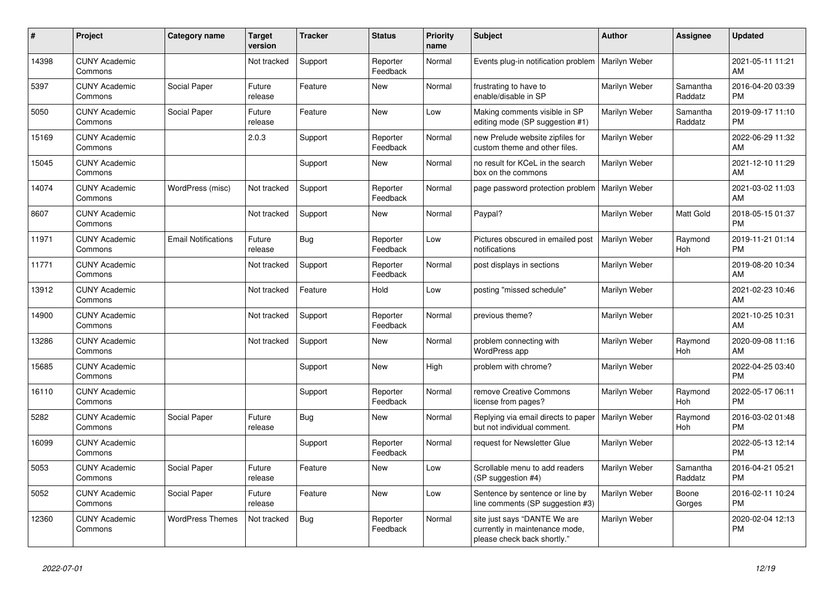| #     | <b>Project</b>                  | Category name              | <b>Target</b><br>version | <b>Tracker</b> | <b>Status</b>        | <b>Priority</b><br>name | <b>Subject</b>                                                                                | <b>Author</b>   | Assignee            | <b>Updated</b>                |
|-------|---------------------------------|----------------------------|--------------------------|----------------|----------------------|-------------------------|-----------------------------------------------------------------------------------------------|-----------------|---------------------|-------------------------------|
| 14398 | <b>CUNY Academic</b><br>Commons |                            | Not tracked              | Support        | Reporter<br>Feedback | Normal                  | Events plug-in notification problem                                                           | l Marilvn Weber |                     | 2021-05-11 11:21<br>AM        |
| 5397  | <b>CUNY Academic</b><br>Commons | Social Paper               | Future<br>release        | Feature        | <b>New</b>           | Normal                  | frustrating to have to<br>enable/disable in SP                                                | Marilyn Weber   | Samantha<br>Raddatz | 2016-04-20 03:39<br><b>PM</b> |
| 5050  | <b>CUNY Academic</b><br>Commons | Social Paper               | Future<br>release        | Feature        | <b>New</b>           | Low                     | Making comments visible in SP<br>editing mode (SP suggestion #1)                              | Marilyn Weber   | Samantha<br>Raddatz | 2019-09-17 11:10<br><b>PM</b> |
| 15169 | <b>CUNY Academic</b><br>Commons |                            | 2.0.3                    | Support        | Reporter<br>Feedback | Normal                  | new Prelude website zipfiles for<br>custom theme and other files.                             | Marilyn Weber   |                     | 2022-06-29 11:32<br>AM        |
| 15045 | <b>CUNY Academic</b><br>Commons |                            |                          | Support        | <b>New</b>           | Normal                  | no result for KCeL in the search<br>box on the commons                                        | Marilyn Weber   |                     | 2021-12-10 11:29<br>AM        |
| 14074 | <b>CUNY Academic</b><br>Commons | WordPress (misc)           | Not tracked              | Support        | Reporter<br>Feedback | Normal                  | page password protection problem                                                              | Marilyn Weber   |                     | 2021-03-02 11:03<br>AM        |
| 8607  | <b>CUNY Academic</b><br>Commons |                            | Not tracked              | Support        | New                  | Normal                  | Paypal?                                                                                       | Marilyn Weber   | Matt Gold           | 2018-05-15 01:37<br><b>PM</b> |
| 11971 | <b>CUNY Academic</b><br>Commons | <b>Email Notifications</b> | Future<br>release        | <b>Bug</b>     | Reporter<br>Feedback | Low                     | Pictures obscured in emailed post<br>notifications                                            | Marilyn Weber   | Raymond<br>Hoh      | 2019-11-21 01:14<br><b>PM</b> |
| 11771 | <b>CUNY Academic</b><br>Commons |                            | Not tracked              | Support        | Reporter<br>Feedback | Normal                  | post displays in sections                                                                     | Marilyn Weber   |                     | 2019-08-20 10:34<br>AM        |
| 13912 | <b>CUNY Academic</b><br>Commons |                            | Not tracked              | Feature        | Hold                 | Low                     | posting "missed schedule"                                                                     | Marilyn Weber   |                     | 2021-02-23 10:46<br>AM        |
| 14900 | <b>CUNY Academic</b><br>Commons |                            | Not tracked              | Support        | Reporter<br>Feedback | Normal                  | previous theme?                                                                               | Marilyn Weber   |                     | 2021-10-25 10:31<br>AM        |
| 13286 | <b>CUNY Academic</b><br>Commons |                            | Not tracked              | Support        | <b>New</b>           | Normal                  | problem connecting with<br>WordPress app                                                      | Marilyn Weber   | Raymond<br>Hoh      | 2020-09-08 11:16<br>AM        |
| 15685 | <b>CUNY Academic</b><br>Commons |                            |                          | Support        | New                  | High                    | problem with chrome?                                                                          | Marilyn Weber   |                     | 2022-04-25 03:40<br><b>PM</b> |
| 16110 | <b>CUNY Academic</b><br>Commons |                            |                          | Support        | Reporter<br>Feedback | Normal                  | remove Creative Commons<br>license from pages?                                                | Marilyn Weber   | Raymond<br>Hoh      | 2022-05-17 06:11<br><b>PM</b> |
| 5282  | <b>CUNY Academic</b><br>Commons | Social Paper               | Future<br>release        | <b>Bug</b>     | <b>New</b>           | Normal                  | Replying via email directs to paper<br>but not individual comment.                            | Marilyn Weber   | Raymond<br>Hoh      | 2016-03-02 01:48<br><b>PM</b> |
| 16099 | <b>CUNY Academic</b><br>Commons |                            |                          | Support        | Reporter<br>Feedback | Normal                  | request for Newsletter Glue                                                                   | Marilyn Weber   |                     | 2022-05-13 12:14<br><b>PM</b> |
| 5053  | <b>CUNY Academic</b><br>Commons | Social Paper               | Future<br>release        | Feature        | <b>New</b>           | Low                     | Scrollable menu to add readers<br>(SP suggestion #4)                                          | Marilyn Weber   | Samantha<br>Raddatz | 2016-04-21 05:21<br><b>PM</b> |
| 5052  | <b>CUNY Academic</b><br>Commons | Social Paper               | Future<br>release        | Feature        | <b>New</b>           | Low                     | Sentence by sentence or line by<br>line comments (SP suggestion #3)                           | Marilyn Weber   | Boone<br>Gorges     | 2016-02-11 10:24<br><b>PM</b> |
| 12360 | <b>CUNY Academic</b><br>Commons | <b>WordPress Themes</b>    | Not tracked              | Bug            | Reporter<br>Feedback | Normal                  | site just says "DANTE We are<br>currently in maintenance mode,<br>please check back shortly." | Marilyn Weber   |                     | 2020-02-04 12:13<br><b>PM</b> |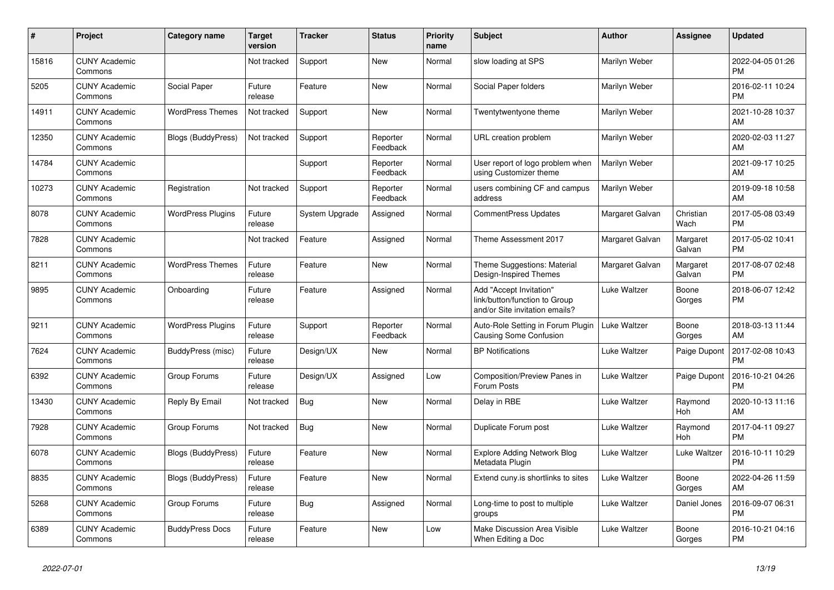| #     | Project                         | <b>Category name</b>      | <b>Target</b><br>version | <b>Tracker</b> | <b>Status</b>        | <b>Priority</b><br>name | <b>Subject</b>                                                                             | <b>Author</b>   | <b>Assignee</b>    | <b>Updated</b>                |
|-------|---------------------------------|---------------------------|--------------------------|----------------|----------------------|-------------------------|--------------------------------------------------------------------------------------------|-----------------|--------------------|-------------------------------|
| 15816 | <b>CUNY Academic</b><br>Commons |                           | Not tracked              | Support        | New                  | Normal                  | slow loading at SPS                                                                        | Marilyn Weber   |                    | 2022-04-05 01:26<br><b>PM</b> |
| 5205  | <b>CUNY Academic</b><br>Commons | Social Paper              | Future<br>release        | Feature        | New                  | Normal                  | Social Paper folders                                                                       | Marilyn Weber   |                    | 2016-02-11 10:24<br><b>PM</b> |
| 14911 | <b>CUNY Academic</b><br>Commons | <b>WordPress Themes</b>   | Not tracked              | Support        | <b>New</b>           | Normal                  | Twentytwentyone theme                                                                      | Marilyn Weber   |                    | 2021-10-28 10:37<br>AM        |
| 12350 | <b>CUNY Academic</b><br>Commons | <b>Blogs (BuddyPress)</b> | Not tracked              | Support        | Reporter<br>Feedback | Normal                  | URL creation problem                                                                       | Marilyn Weber   |                    | 2020-02-03 11:27<br>AM        |
| 14784 | <b>CUNY Academic</b><br>Commons |                           |                          | Support        | Reporter<br>Feedback | Normal                  | User report of logo problem when<br>using Customizer theme                                 | Marilyn Weber   |                    | 2021-09-17 10:25<br>AM        |
| 10273 | <b>CUNY Academic</b><br>Commons | Registration              | Not tracked              | Support        | Reporter<br>Feedback | Normal                  | users combining CF and campus<br>address                                                   | Marilyn Weber   |                    | 2019-09-18 10:58<br>AM        |
| 8078  | <b>CUNY Academic</b><br>Commons | <b>WordPress Plugins</b>  | Future<br>release        | System Upgrade | Assigned             | Normal                  | <b>CommentPress Updates</b>                                                                | Margaret Galvan | Christian<br>Wach  | 2017-05-08 03:49<br><b>PM</b> |
| 7828  | <b>CUNY Academic</b><br>Commons |                           | Not tracked              | Feature        | Assigned             | Normal                  | Theme Assessment 2017                                                                      | Margaret Galvan | Margaret<br>Galvan | 2017-05-02 10:41<br><b>PM</b> |
| 8211  | <b>CUNY Academic</b><br>Commons | <b>WordPress Themes</b>   | Future<br>release        | Feature        | New                  | Normal                  | Theme Suggestions: Material<br>Design-Inspired Themes                                      | Margaret Galvan | Margaret<br>Galvan | 2017-08-07 02:48<br><b>PM</b> |
| 9895  | <b>CUNY Academic</b><br>Commons | Onboarding                | Future<br>release        | Feature        | Assigned             | Normal                  | Add "Accept Invitation"<br>link/button/function to Group<br>and/or Site invitation emails? | Luke Waltzer    | Boone<br>Gorges    | 2018-06-07 12:42<br><b>PM</b> |
| 9211  | <b>CUNY Academic</b><br>Commons | <b>WordPress Plugins</b>  | Future<br>release        | Support        | Reporter<br>Feedback | Normal                  | Auto-Role Setting in Forum Plugin<br>Causing Some Confusion                                | Luke Waltzer    | Boone<br>Gorges    | 2018-03-13 11:44<br>AM        |
| 7624  | <b>CUNY Academic</b><br>Commons | BuddyPress (misc)         | Future<br>release        | Design/UX      | New                  | Normal                  | <b>BP Notifications</b>                                                                    | Luke Waltzer    | Paige Dupont       | 2017-02-08 10:43<br><b>PM</b> |
| 6392  | <b>CUNY Academic</b><br>Commons | Group Forums              | Future<br>release        | Design/UX      | Assigned             | Low                     | Composition/Preview Panes in<br>Forum Posts                                                | Luke Waltzer    | Paige Dupont       | 2016-10-21 04:26<br><b>PM</b> |
| 13430 | <b>CUNY Academic</b><br>Commons | Reply By Email            | Not tracked              | <b>Bug</b>     | New                  | Normal                  | Delay in RBE                                                                               | Luke Waltzer    | Raymond<br>Hoh     | 2020-10-13 11:16<br>AM        |
| 7928  | <b>CUNY Academic</b><br>Commons | Group Forums              | Not tracked              | Bug            | New                  | Normal                  | Duplicate Forum post                                                                       | Luke Waltzer    | Raymond<br>Hoh     | 2017-04-11 09:27<br><b>PM</b> |
| 6078  | <b>CUNY Academic</b><br>Commons | <b>Blogs (BuddyPress)</b> | Future<br>release        | Feature        | New                  | Normal                  | <b>Explore Adding Network Blog</b><br>Metadata Plugin                                      | Luke Waltzer    | Luke Waltzer       | 2016-10-11 10:29<br><b>PM</b> |
| 8835  | <b>CUNY Academic</b><br>Commons | <b>Blogs (BuddyPress)</b> | Future<br>release        | Feature        | <b>New</b>           | Normal                  | Extend cuny.is shortlinks to sites                                                         | Luke Waltzer    | Boone<br>Gorges    | 2022-04-26 11:59<br>AM        |
| 5268  | <b>CUNY Academic</b><br>Commons | Group Forums              | Future<br>release        | Bug            | Assigned             | Normal                  | Long-time to post to multiple<br>groups                                                    | Luke Waltzer    | Daniel Jones       | 2016-09-07 06:31<br><b>PM</b> |
| 6389  | <b>CUNY Academic</b><br>Commons | <b>BuddyPress Docs</b>    | Future<br>release        | Feature        | <b>New</b>           | Low                     | Make Discussion Area Visible<br>When Editing a Doc                                         | Luke Waltzer    | Boone<br>Gorges    | 2016-10-21 04:16<br><b>PM</b> |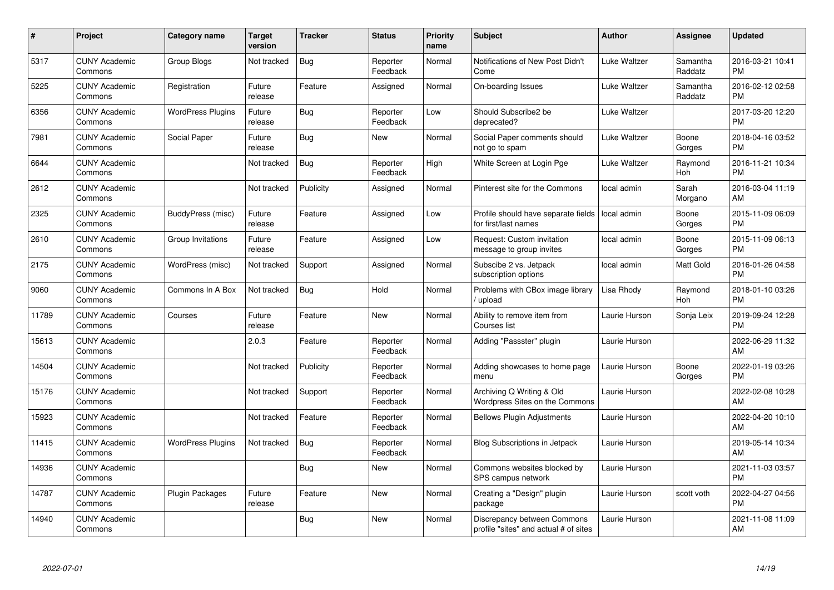| #     | <b>Project</b>                  | Category name            | <b>Target</b><br>version | <b>Tracker</b> | <b>Status</b>        | <b>Priority</b><br>name | <b>Subject</b>                                                       | <b>Author</b> | Assignee            | <b>Updated</b>                |
|-------|---------------------------------|--------------------------|--------------------------|----------------|----------------------|-------------------------|----------------------------------------------------------------------|---------------|---------------------|-------------------------------|
| 5317  | <b>CUNY Academic</b><br>Commons | <b>Group Blogs</b>       | Not tracked              | Bug            | Reporter<br>Feedback | Normal                  | Notifications of New Post Didn't<br>Come                             | Luke Waltzer  | Samantha<br>Raddatz | 2016-03-21 10:41<br><b>PM</b> |
| 5225  | <b>CUNY Academic</b><br>Commons | Registration             | Future<br>release        | Feature        | Assigned             | Normal                  | On-boarding Issues                                                   | Luke Waltzer  | Samantha<br>Raddatz | 2016-02-12 02:58<br><b>PM</b> |
| 6356  | <b>CUNY Academic</b><br>Commons | <b>WordPress Plugins</b> | Future<br>release        | <b>Bug</b>     | Reporter<br>Feedback | Low                     | Should Subscribe2 be<br>deprecated?                                  | Luke Waltzer  |                     | 2017-03-20 12:20<br><b>PM</b> |
| 7981  | <b>CUNY Academic</b><br>Commons | Social Paper             | Future<br>release        | Bug            | New                  | Normal                  | Social Paper comments should<br>not go to spam                       | Luke Waltzer  | Boone<br>Gorges     | 2018-04-16 03:52<br><b>PM</b> |
| 6644  | <b>CUNY Academic</b><br>Commons |                          | Not tracked              | <b>Bug</b>     | Reporter<br>Feedback | High                    | White Screen at Login Pge                                            | Luke Waltzer  | Raymond<br>Hoh      | 2016-11-21 10:34<br><b>PM</b> |
| 2612  | <b>CUNY Academic</b><br>Commons |                          | Not tracked              | Publicity      | Assigned             | Normal                  | Pinterest site for the Commons                                       | local admin   | Sarah<br>Morgano    | 2016-03-04 11:19<br>AM        |
| 2325  | <b>CUNY Academic</b><br>Commons | BuddyPress (misc)        | Future<br>release        | Feature        | Assigned             | Low                     | Profile should have separate fields<br>for first/last names          | local admin   | Boone<br>Gorges     | 2015-11-09 06:09<br><b>PM</b> |
| 2610  | <b>CUNY Academic</b><br>Commons | Group Invitations        | Future<br>release        | Feature        | Assigned             | Low                     | Request: Custom invitation<br>message to group invites               | local admin   | Boone<br>Gorges     | 2015-11-09 06:13<br><b>PM</b> |
| 2175  | <b>CUNY Academic</b><br>Commons | WordPress (misc)         | Not tracked              | Support        | Assigned             | Normal                  | Subscibe 2 vs. Jetpack<br>subscription options                       | local admin   | Matt Gold           | 2016-01-26 04:58<br><b>PM</b> |
| 9060  | <b>CUNY Academic</b><br>Commons | Commons In A Box         | Not tracked              | Bug            | Hold                 | Normal                  | Problems with CBox image library<br>/ upload                         | Lisa Rhody    | Raymond<br>Hoh      | 2018-01-10 03:26<br><b>PM</b> |
| 11789 | <b>CUNY Academic</b><br>Commons | Courses                  | Future<br>release        | Feature        | <b>New</b>           | Normal                  | Ability to remove item from<br>Courses list                          | Laurie Hurson | Sonja Leix          | 2019-09-24 12:28<br><b>PM</b> |
| 15613 | <b>CUNY Academic</b><br>Commons |                          | 2.0.3                    | Feature        | Reporter<br>Feedback | Normal                  | Adding "Passster" plugin                                             | Laurie Hurson |                     | 2022-06-29 11:32<br>AM        |
| 14504 | <b>CUNY Academic</b><br>Commons |                          | Not tracked              | Publicity      | Reporter<br>Feedback | Normal                  | Adding showcases to home page<br>menu                                | Laurie Hurson | Boone<br>Gorges     | 2022-01-19 03:26<br><b>PM</b> |
| 15176 | <b>CUNY Academic</b><br>Commons |                          | Not tracked              | Support        | Reporter<br>Feedback | Normal                  | Archiving Q Writing & Old<br>Wordpress Sites on the Commons          | Laurie Hurson |                     | 2022-02-08 10:28<br>AM        |
| 15923 | <b>CUNY Academic</b><br>Commons |                          | Not tracked              | Feature        | Reporter<br>Feedback | Normal                  | <b>Bellows Plugin Adjustments</b>                                    | Laurie Hurson |                     | 2022-04-20 10:10<br><b>AM</b> |
| 11415 | <b>CUNY Academic</b><br>Commons | <b>WordPress Plugins</b> | Not tracked              | Bug            | Reporter<br>Feedback | Normal                  | Blog Subscriptions in Jetpack                                        | Laurie Hurson |                     | 2019-05-14 10:34<br>AM        |
| 14936 | <b>CUNY Academic</b><br>Commons |                          |                          | Bug            | <b>New</b>           | Normal                  | Commons websites blocked by<br>SPS campus network                    | Laurie Hurson |                     | 2021-11-03 03:57<br><b>PM</b> |
| 14787 | <b>CUNY Academic</b><br>Commons | <b>Plugin Packages</b>   | Future<br>release        | Feature        | <b>New</b>           | Normal                  | Creating a "Design" plugin<br>package                                | Laurie Hurson | scott voth          | 2022-04-27 04:56<br><b>PM</b> |
| 14940 | <b>CUNY Academic</b><br>Commons |                          |                          | <b>Bug</b>     | New                  | Normal                  | Discrepancy between Commons<br>profile "sites" and actual # of sites | Laurie Hurson |                     | 2021-11-08 11:09<br>AM        |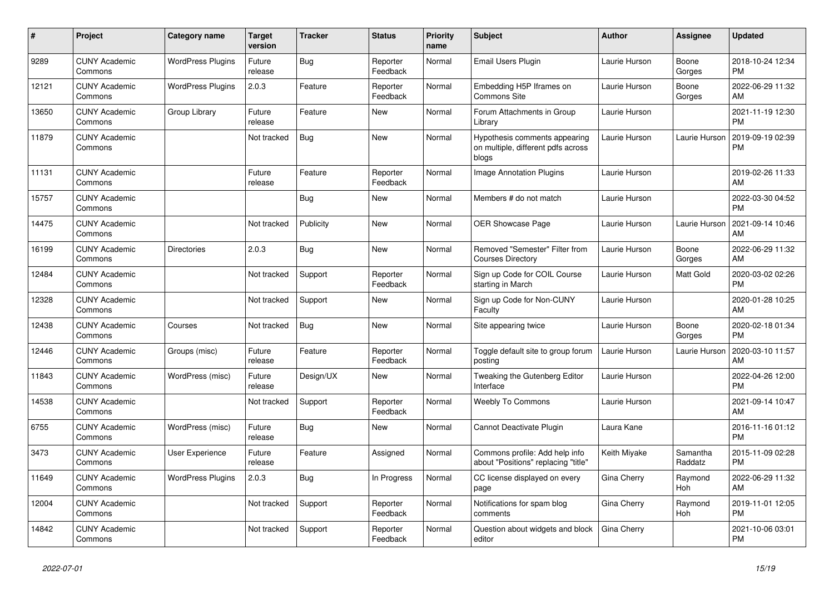| #     | <b>Project</b>                  | Category name            | <b>Target</b><br>version | <b>Tracker</b> | <b>Status</b>        | <b>Priority</b><br>name | <b>Subject</b>                                                               | <b>Author</b> | Assignee            | <b>Updated</b>                |
|-------|---------------------------------|--------------------------|--------------------------|----------------|----------------------|-------------------------|------------------------------------------------------------------------------|---------------|---------------------|-------------------------------|
| 9289  | <b>CUNY Academic</b><br>Commons | <b>WordPress Plugins</b> | Future<br>release        | <b>Bug</b>     | Reporter<br>Feedback | Normal                  | Email Users Plugin                                                           | Laurie Hurson | Boone<br>Gorges     | 2018-10-24 12:34<br><b>PM</b> |
| 12121 | <b>CUNY Academic</b><br>Commons | <b>WordPress Plugins</b> | 2.0.3                    | Feature        | Reporter<br>Feedback | Normal                  | Embedding H5P Iframes on<br>Commons Site                                     | Laurie Hurson | Boone<br>Gorges     | 2022-06-29 11:32<br>AM        |
| 13650 | <b>CUNY Academic</b><br>Commons | Group Library            | Future<br>release        | Feature        | <b>New</b>           | Normal                  | Forum Attachments in Group<br>Library                                        | Laurie Hurson |                     | 2021-11-19 12:30<br><b>PM</b> |
| 11879 | <b>CUNY Academic</b><br>Commons |                          | Not tracked              | <b>Bug</b>     | <b>New</b>           | Normal                  | Hypothesis comments appearing<br>on multiple, different pdfs across<br>blogs | Laurie Hurson | Laurie Hurson       | 2019-09-19 02:39<br><b>PM</b> |
| 11131 | <b>CUNY Academic</b><br>Commons |                          | Future<br>release        | Feature        | Reporter<br>Feedback | Normal                  | Image Annotation Plugins                                                     | Laurie Hurson |                     | 2019-02-26 11:33<br>AM        |
| 15757 | <b>CUNY Academic</b><br>Commons |                          |                          | Bug            | <b>New</b>           | Normal                  | Members # do not match                                                       | Laurie Hurson |                     | 2022-03-30 04:52<br><b>PM</b> |
| 14475 | <b>CUNY Academic</b><br>Commons |                          | Not tracked              | Publicity      | <b>New</b>           | Normal                  | <b>OER Showcase Page</b>                                                     | Laurie Hurson | Laurie Hurson       | 2021-09-14 10:46<br>AM        |
| 16199 | <b>CUNY Academic</b><br>Commons | <b>Directories</b>       | 2.0.3                    | <b>Bug</b>     | <b>New</b>           | Normal                  | Removed "Semester" Filter from<br><b>Courses Directory</b>                   | Laurie Hurson | Boone<br>Gorges     | 2022-06-29 11:32<br>AM        |
| 12484 | <b>CUNY Academic</b><br>Commons |                          | Not tracked              | Support        | Reporter<br>Feedback | Normal                  | Sign up Code for COIL Course<br>starting in March                            | Laurie Hurson | Matt Gold           | 2020-03-02 02:26<br><b>PM</b> |
| 12328 | <b>CUNY Academic</b><br>Commons |                          | Not tracked              | Support        | <b>New</b>           | Normal                  | Sign up Code for Non-CUNY<br>Faculty                                         | Laurie Hurson |                     | 2020-01-28 10:25<br>AM        |
| 12438 | <b>CUNY Academic</b><br>Commons | Courses                  | Not tracked              | Bug            | <b>New</b>           | Normal                  | Site appearing twice                                                         | Laurie Hurson | Boone<br>Gorges     | 2020-02-18 01:34<br><b>PM</b> |
| 12446 | <b>CUNY Academic</b><br>Commons | Groups (misc)            | Future<br>release        | Feature        | Reporter<br>Feedback | Normal                  | Toggle default site to group forum<br>posting                                | Laurie Hurson | Laurie Hurson       | 2020-03-10 11:57<br>AM        |
| 11843 | <b>CUNY Academic</b><br>Commons | WordPress (misc)         | Future<br>release        | Design/UX      | <b>New</b>           | Normal                  | Tweaking the Gutenberg Editor<br>Interface                                   | Laurie Hurson |                     | 2022-04-26 12:00<br><b>PM</b> |
| 14538 | <b>CUNY Academic</b><br>Commons |                          | Not tracked              | Support        | Reporter<br>Feedback | Normal                  | <b>Weebly To Commons</b>                                                     | Laurie Hurson |                     | 2021-09-14 10:47<br>AM        |
| 6755  | <b>CUNY Academic</b><br>Commons | WordPress (misc)         | Future<br>release        | Bug            | <b>New</b>           | Normal                  | Cannot Deactivate Plugin                                                     | Laura Kane    |                     | 2016-11-16 01:12<br><b>PM</b> |
| 3473  | <b>CUNY Academic</b><br>Commons | <b>User Experience</b>   | Future<br>release        | Feature        | Assigned             | Normal                  | Commons profile: Add help info<br>about "Positions" replacing "title"        | Keith Miyake  | Samantha<br>Raddatz | 2015-11-09 02:28<br><b>PM</b> |
| 11649 | <b>CUNY Academic</b><br>Commons | <b>WordPress Plugins</b> | 2.0.3                    | Bug            | In Progress          | Normal                  | CC license displayed on every<br>page                                        | Gina Cherry   | Raymond<br>Hoh      | 2022-06-29 11:32<br>AM        |
| 12004 | <b>CUNY Academic</b><br>Commons |                          | Not tracked              | Support        | Reporter<br>Feedback | Normal                  | Notifications for spam blog<br>comments                                      | Gina Cherry   | Raymond<br>Hoh      | 2019-11-01 12:05<br><b>PM</b> |
| 14842 | <b>CUNY Academic</b><br>Commons |                          | Not tracked              | Support        | Reporter<br>Feedback | Normal                  | Question about widgets and block<br>editor                                   | Gina Cherry   |                     | 2021-10-06 03:01<br><b>PM</b> |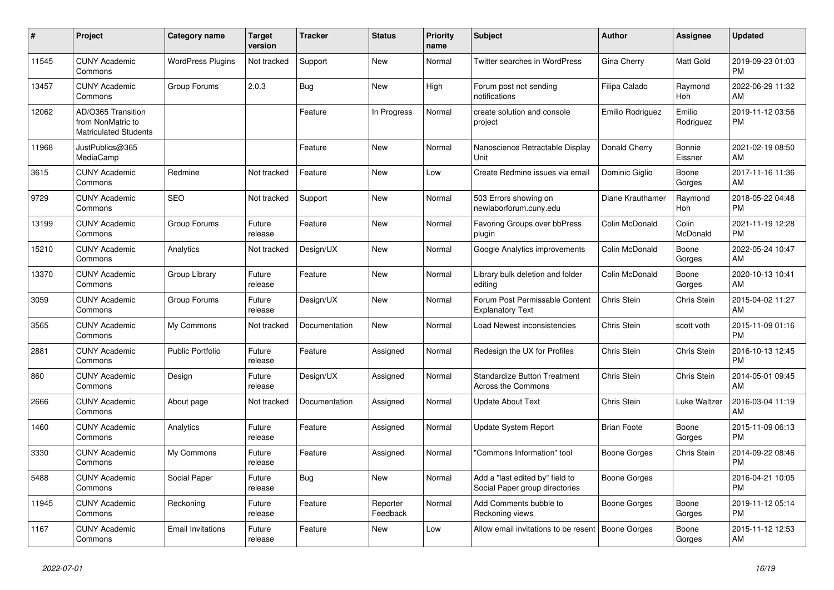| #     | <b>Project</b>                                                          | Category name            | <b>Target</b><br>version | <b>Tracker</b> | <b>Status</b>        | <b>Priority</b><br>name | <b>Subject</b>                                                    | <b>Author</b>      | Assignee            | <b>Updated</b>                |
|-------|-------------------------------------------------------------------------|--------------------------|--------------------------|----------------|----------------------|-------------------------|-------------------------------------------------------------------|--------------------|---------------------|-------------------------------|
| 11545 | <b>CUNY Academic</b><br>Commons                                         | <b>WordPress Plugins</b> | Not tracked              | Support        | New                  | Normal                  | <b>Twitter searches in WordPress</b>                              | Gina Cherry        | Matt Gold           | 2019-09-23 01:03<br><b>PM</b> |
| 13457 | <b>CUNY Academic</b><br>Commons                                         | Group Forums             | 2.0.3                    | Bug            | New                  | High                    | Forum post not sending<br>notifications                           | Filipa Calado      | Raymond<br>Hoh      | 2022-06-29 11:32<br>AM        |
| 12062 | AD/O365 Transition<br>from NonMatric to<br><b>Matriculated Students</b> |                          |                          | Feature        | In Progress          | Normal                  | create solution and console<br>project                            | Emilio Rodriguez   | Emilio<br>Rodriguez | 2019-11-12 03:56<br><b>PM</b> |
| 11968 | JustPublics@365<br>MediaCamp                                            |                          |                          | Feature        | <b>New</b>           | Normal                  | Nanoscience Retractable Display<br>Unit                           | Donald Cherry      | Bonnie<br>Eissner   | 2021-02-19 08:50<br>AM        |
| 3615  | <b>CUNY Academic</b><br>Commons                                         | Redmine                  | Not tracked              | Feature        | New                  | Low                     | Create Redmine issues via email                                   | Dominic Giglio     | Boone<br>Gorges     | 2017-11-16 11:36<br>AM        |
| 9729  | <b>CUNY Academic</b><br>Commons                                         | <b>SEO</b>               | Not tracked              | Support        | <b>New</b>           | Normal                  | 503 Errors showing on<br>newlaborforum.cuny.edu                   | Diane Krauthamer   | Raymond<br>Hoh      | 2018-05-22 04:48<br><b>PM</b> |
| 13199 | <b>CUNY Academic</b><br>Commons                                         | Group Forums             | Future<br>release        | Feature        | <b>New</b>           | Normal                  | <b>Favoring Groups over bbPress</b><br>plugin                     | Colin McDonald     | Colin<br>McDonald   | 2021-11-19 12:28<br><b>PM</b> |
| 15210 | <b>CUNY Academic</b><br>Commons                                         | Analytics                | Not tracked              | Design/UX      | New                  | Normal                  | Google Analytics improvements                                     | Colin McDonald     | Boone<br>Gorges     | 2022-05-24 10:47<br>AM        |
| 13370 | <b>CUNY Academic</b><br>Commons                                         | Group Library            | Future<br>release        | Feature        | <b>New</b>           | Normal                  | Library bulk deletion and folder<br>editing                       | Colin McDonald     | Boone<br>Gorges     | 2020-10-13 10:41<br>AM        |
| 3059  | <b>CUNY Academic</b><br>Commons                                         | Group Forums             | Future<br>release        | Design/UX      | <b>New</b>           | Normal                  | Forum Post Permissable Content<br><b>Explanatory Text</b>         | Chris Stein        | <b>Chris Stein</b>  | 2015-04-02 11:27<br>AM        |
| 3565  | <b>CUNY Academic</b><br>Commons                                         | My Commons               | Not tracked              | Documentation  | New                  | Normal                  | Load Newest inconsistencies                                       | Chris Stein        | scott voth          | 2015-11-09 01:16<br><b>PM</b> |
| 2881  | <b>CUNY Academic</b><br>Commons                                         | Public Portfolio         | Future<br>release        | Feature        | Assigned             | Normal                  | Redesign the UX for Profiles                                      | Chris Stein        | Chris Stein         | 2016-10-13 12:45<br><b>PM</b> |
| 860   | <b>CUNY Academic</b><br>Commons                                         | Design                   | Future<br>release        | Design/UX      | Assigned             | Normal                  | <b>Standardize Button Treatment</b><br><b>Across the Commons</b>  | Chris Stein        | Chris Stein         | 2014-05-01 09:45<br>AM        |
| 2666  | <b>CUNY Academic</b><br>Commons                                         | About page               | Not tracked              | Documentation  | Assigned             | Normal                  | <b>Update About Text</b>                                          | Chris Stein        | Luke Waltzer        | 2016-03-04 11:19<br>AM        |
| 1460  | <b>CUNY Academic</b><br>Commons                                         | Analytics                | Future<br>release        | Feature        | Assigned             | Normal                  | <b>Update System Report</b>                                       | <b>Brian Foote</b> | Boone<br>Gorges     | 2015-11-09 06:13<br><b>PM</b> |
| 3330  | <b>CUNY Academic</b><br>Commons                                         | My Commons               | Future<br>release        | Feature        | Assigned             | Normal                  | "Commons Information" tool                                        | Boone Gorges       | Chris Stein         | 2014-09-22 08:46<br><b>PM</b> |
| 5488  | <b>CUNY Academic</b><br>Commons                                         | Social Paper             | Future<br>release        | Bug            | <b>New</b>           | Normal                  | Add a "last edited by" field to<br>Social Paper group directories | Boone Gorges       |                     | 2016-04-21 10:05<br><b>PM</b> |
| 11945 | <b>CUNY Academic</b><br>Commons                                         | Reckoning                | Future<br>release        | Feature        | Reporter<br>Feedback | Normal                  | Add Comments bubble to<br>Reckoning views                         | Boone Gorges       | Boone<br>Gorges     | 2019-11-12 05:14<br><b>PM</b> |
| 1167  | <b>CUNY Academic</b><br>Commons                                         | <b>Email Invitations</b> | Future<br>release        | Feature        | <b>New</b>           | Low                     | Allow email invitations to be resent                              | Boone Gorges       | Boone<br>Gorges     | 2015-11-12 12:53<br>AM        |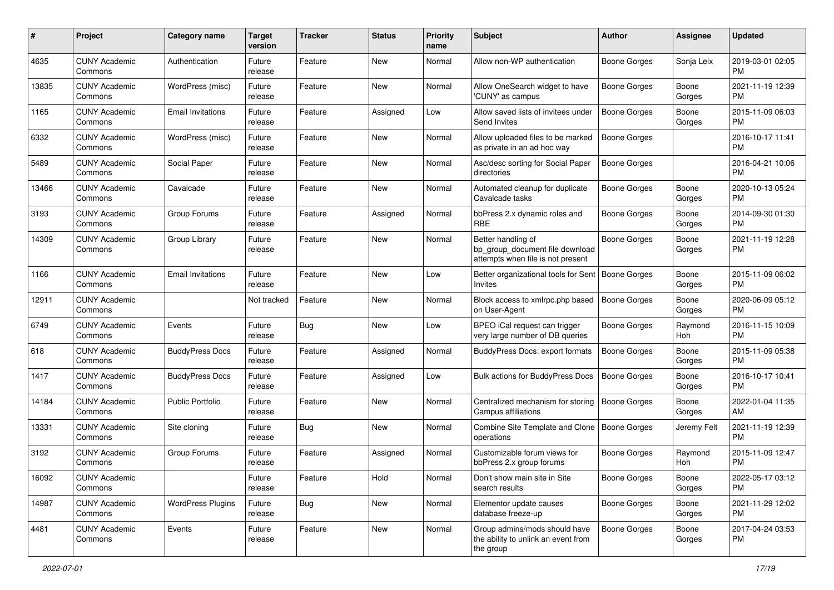| #     | Project                         | <b>Category name</b>     | <b>Target</b><br>version | <b>Tracker</b> | <b>Status</b> | Priority<br>name | <b>Subject</b>                                                                             | <b>Author</b>       | <b>Assignee</b> | <b>Updated</b>                |
|-------|---------------------------------|--------------------------|--------------------------|----------------|---------------|------------------|--------------------------------------------------------------------------------------------|---------------------|-----------------|-------------------------------|
| 4635  | <b>CUNY Academic</b><br>Commons | Authentication           | Future<br>release        | Feature        | New           | Normal           | Allow non-WP authentication                                                                | <b>Boone Gorges</b> | Sonja Leix      | 2019-03-01 02:05<br>PM.       |
| 13835 | <b>CUNY Academic</b><br>Commons | WordPress (misc)         | Future<br>release        | Feature        | New           | Normal           | Allow OneSearch widget to have<br>'CUNY' as campus                                         | Boone Gorges        | Boone<br>Gorges | 2021-11-19 12:39<br><b>PM</b> |
| 1165  | <b>CUNY Academic</b><br>Commons | <b>Email Invitations</b> | Future<br>release        | Feature        | Assigned      | Low              | Allow saved lists of invitees under<br>Send Invites                                        | <b>Boone Gorges</b> | Boone<br>Gorges | 2015-11-09 06:03<br><b>PM</b> |
| 6332  | <b>CUNY Academic</b><br>Commons | WordPress (misc)         | Future<br>release        | Feature        | New           | Normal           | Allow uploaded files to be marked<br>as private in an ad hoc way                           | Boone Gorges        |                 | 2016-10-17 11:41<br><b>PM</b> |
| 5489  | <b>CUNY Academic</b><br>Commons | Social Paper             | Future<br>release        | Feature        | New           | Normal           | Asc/desc sorting for Social Paper<br>directories                                           | Boone Gorges        |                 | 2016-04-21 10:06<br><b>PM</b> |
| 13466 | <b>CUNY Academic</b><br>Commons | Cavalcade                | Future<br>release        | Feature        | New           | Normal           | Automated cleanup for duplicate<br>Cavalcade tasks                                         | Boone Gorges        | Boone<br>Gorges | 2020-10-13 05:24<br><b>PM</b> |
| 3193  | <b>CUNY Academic</b><br>Commons | Group Forums             | Future<br>release        | Feature        | Assigned      | Normal           | bbPress 2.x dynamic roles and<br><b>RBE</b>                                                | <b>Boone Gorges</b> | Boone<br>Gorges | 2014-09-30 01:30<br><b>PM</b> |
| 14309 | <b>CUNY Academic</b><br>Commons | Group Library            | Future<br>release        | Feature        | New           | Normal           | Better handling of<br>bp_group_document file download<br>attempts when file is not present | <b>Boone Gorges</b> | Boone<br>Gorges | 2021-11-19 12:28<br>PM        |
| 1166  | <b>CUNY Academic</b><br>Commons | <b>Email Invitations</b> | Future<br>release        | Feature        | New           | Low              | Better organizational tools for Sent<br>Invites                                            | Boone Gorges        | Boone<br>Gorges | 2015-11-09 06:02<br>PM.       |
| 12911 | <b>CUNY Academic</b><br>Commons |                          | Not tracked              | Feature        | New           | Normal           | Block access to xmlrpc.php based<br>on User-Agent                                          | <b>Boone Gorges</b> | Boone<br>Gorges | 2020-06-09 05:12<br><b>PM</b> |
| 6749  | <b>CUNY Academic</b><br>Commons | Events                   | Future<br>release        | Bug            | New           | Low              | BPEO iCal request can trigger<br>very large number of DB queries                           | Boone Gorges        | Raymond<br>Hoh  | 2016-11-15 10:09<br><b>PM</b> |
| 618   | <b>CUNY Academic</b><br>Commons | <b>BuddyPress Docs</b>   | Future<br>release        | Feature        | Assigned      | Normal           | BuddyPress Docs: export formats                                                            | Boone Gorges        | Boone<br>Gorges | 2015-11-09 05:38<br>PM.       |
| 1417  | <b>CUNY Academic</b><br>Commons | <b>BuddyPress Docs</b>   | Future<br>release        | Feature        | Assigned      | Low              | Bulk actions for BuddyPress Docs                                                           | <b>Boone Gorges</b> | Boone<br>Gorges | 2016-10-17 10:41<br><b>PM</b> |
| 14184 | <b>CUNY Academic</b><br>Commons | <b>Public Portfolio</b>  | Future<br>release        | Feature        | New           | Normal           | Centralized mechanism for storing<br>Campus affiliations                                   | <b>Boone Gorges</b> | Boone<br>Gorges | 2022-01-04 11:35<br>AM.       |
| 13331 | <b>CUNY Academic</b><br>Commons | Site cloning             | Future<br>release        | Bug            | New           | Normal           | Combine Site Template and Clone<br>operations                                              | <b>Boone Gorges</b> | Jeremy Felt     | 2021-11-19 12:39<br><b>PM</b> |
| 3192  | <b>CUNY Academic</b><br>Commons | Group Forums             | Future<br>release        | Feature        | Assigned      | Normal           | Customizable forum views for<br>bbPress 2.x group forums                                   | <b>Boone Gorges</b> | Raymond<br>Hoh  | 2015-11-09 12:47<br><b>PM</b> |
| 16092 | <b>CUNY Academic</b><br>Commons |                          | Future<br>release        | Feature        | Hold          | Normal           | Don't show main site in Site<br>search results                                             | <b>Boone Gorges</b> | Boone<br>Gorges | 2022-05-17 03:12<br><b>PM</b> |
| 14987 | <b>CUNY Academic</b><br>Commons | <b>WordPress Plugins</b> | Future<br>release        | <b>Bug</b>     | New           | Normal           | Elementor update causes<br>database freeze-up                                              | Boone Gorges        | Boone<br>Gorges | 2021-11-29 12:02<br><b>PM</b> |
| 4481  | <b>CUNY Academic</b><br>Commons | Events                   | Future<br>release        | Feature        | New           | Normal           | Group admins/mods should have<br>the ability to unlink an event from<br>the group          | <b>Boone Gorges</b> | Boone<br>Gorges | 2017-04-24 03:53<br><b>PM</b> |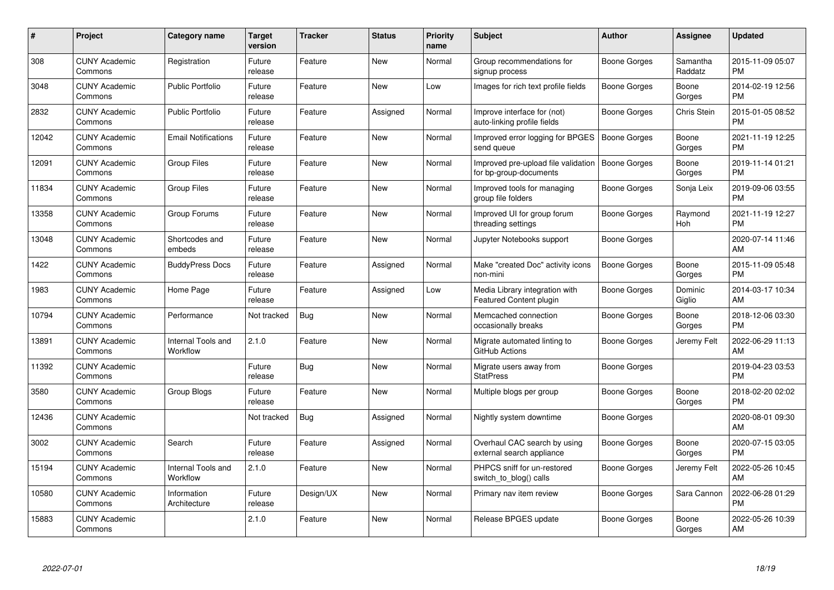| $\#$  | Project                         | <b>Category name</b>           | <b>Target</b><br>version | <b>Tracker</b> | <b>Status</b> | Priority<br>name | <b>Subject</b>                                                | <b>Author</b>       | <b>Assignee</b>     | <b>Updated</b>                |
|-------|---------------------------------|--------------------------------|--------------------------|----------------|---------------|------------------|---------------------------------------------------------------|---------------------|---------------------|-------------------------------|
| 308   | <b>CUNY Academic</b><br>Commons | Registration                   | Future<br>release        | Feature        | <b>New</b>    | Normal           | Group recommendations for<br>signup process                   | Boone Gorges        | Samantha<br>Raddatz | 2015-11-09 05:07<br><b>PM</b> |
| 3048  | <b>CUNY Academic</b><br>Commons | <b>Public Portfolio</b>        | Future<br>release        | Feature        | <b>New</b>    | Low              | Images for rich text profile fields                           | Boone Gorges        | Boone<br>Gorges     | 2014-02-19 12:56<br><b>PM</b> |
| 2832  | <b>CUNY Academic</b><br>Commons | <b>Public Portfolio</b>        | Future<br>release        | Feature        | Assigned      | Normal           | Improve interface for (not)<br>auto-linking profile fields    | Boone Gorges        | Chris Stein         | 2015-01-05 08:52<br><b>PM</b> |
| 12042 | <b>CUNY Academic</b><br>Commons | <b>Email Notifications</b>     | Future<br>release        | Feature        | <b>New</b>    | Normal           | Improved error logging for BPGES<br>send queue                | Boone Gorges        | Boone<br>Gorges     | 2021-11-19 12:25<br><b>PM</b> |
| 12091 | <b>CUNY Academic</b><br>Commons | <b>Group Files</b>             | Future<br>release        | Feature        | <b>New</b>    | Normal           | Improved pre-upload file validation<br>for bp-group-documents | Boone Gorges        | Boone<br>Gorges     | 2019-11-14 01:21<br><b>PM</b> |
| 11834 | <b>CUNY Academic</b><br>Commons | <b>Group Files</b>             | Future<br>release        | Feature        | <b>New</b>    | Normal           | Improved tools for managing<br>group file folders             | Boone Gorges        | Sonja Leix          | 2019-09-06 03:55<br><b>PM</b> |
| 13358 | <b>CUNY Academic</b><br>Commons | Group Forums                   | Future<br>release        | Feature        | <b>New</b>    | Normal           | Improved UI for group forum<br>threading settings             | <b>Boone Gorges</b> | Raymond<br>Hoh      | 2021-11-19 12:27<br><b>PM</b> |
| 13048 | <b>CUNY Academic</b><br>Commons | Shortcodes and<br>embeds       | Future<br>release        | Feature        | <b>New</b>    | Normal           | Jupyter Notebooks support                                     | Boone Gorges        |                     | 2020-07-14 11:46<br>AM        |
| 1422  | <b>CUNY Academic</b><br>Commons | <b>BuddyPress Docs</b>         | Future<br>release        | Feature        | Assigned      | Normal           | Make "created Doc" activity icons<br>non-mini                 | <b>Boone Gorges</b> | Boone<br>Gorges     | 2015-11-09 05:48<br><b>PM</b> |
| 1983  | <b>CUNY Academic</b><br>Commons | Home Page                      | Future<br>release        | Feature        | Assigned      | Low              | Media Library integration with<br>Featured Content plugin     | Boone Gorges        | Dominic<br>Giglio   | 2014-03-17 10:34<br>AM        |
| 10794 | <b>CUNY Academic</b><br>Commons | Performance                    | Not tracked              | Bug            | New           | Normal           | Memcached connection<br>occasionally breaks                   | Boone Gorges        | Boone<br>Gorges     | 2018-12-06 03:30<br><b>PM</b> |
| 13891 | <b>CUNY Academic</b><br>Commons | Internal Tools and<br>Workflow | 2.1.0                    | Feature        | New           | Normal           | Migrate automated linting to<br>GitHub Actions                | Boone Gorges        | Jeremy Felt         | 2022-06-29 11:13<br>AM        |
| 11392 | <b>CUNY Academic</b><br>Commons |                                | Future<br>release        | Bug            | New           | Normal           | Migrate users away from<br><b>StatPress</b>                   | Boone Gorges        |                     | 2019-04-23 03:53<br><b>PM</b> |
| 3580  | <b>CUNY Academic</b><br>Commons | Group Blogs                    | Future<br>release        | Feature        | New           | Normal           | Multiple blogs per group                                      | <b>Boone Gorges</b> | Boone<br>Gorges     | 2018-02-20 02:02<br><b>PM</b> |
| 12436 | <b>CUNY Academic</b><br>Commons |                                | Not tracked              | Bug            | Assigned      | Normal           | Nightly system downtime                                       | Boone Gorges        |                     | 2020-08-01 09:30<br>AM        |
| 3002  | <b>CUNY Academic</b><br>Commons | Search                         | Future<br>release        | Feature        | Assigned      | Normal           | Overhaul CAC search by using<br>external search appliance     | Boone Gorges        | Boone<br>Gorges     | 2020-07-15 03:05<br><b>PM</b> |
| 15194 | <b>CUNY Academic</b><br>Commons | Internal Tools and<br>Workflow | 2.1.0                    | Feature        | New           | Normal           | PHPCS sniff for un-restored<br>switch_to_blog() calls         | Boone Gorges        | Jeremy Felt         | 2022-05-26 10:45<br>AM        |
| 10580 | <b>CUNY Academic</b><br>Commons | Information<br>Architecture    | Future<br>release        | Design/UX      | New           | Normal           | Primary nav item review                                       | Boone Gorges        | Sara Cannon         | 2022-06-28 01:29<br><b>PM</b> |
| 15883 | <b>CUNY Academic</b><br>Commons |                                | 2.1.0                    | Feature        | <b>New</b>    | Normal           | Release BPGES update                                          | Boone Gorges        | Boone<br>Gorges     | 2022-05-26 10:39<br>AM        |